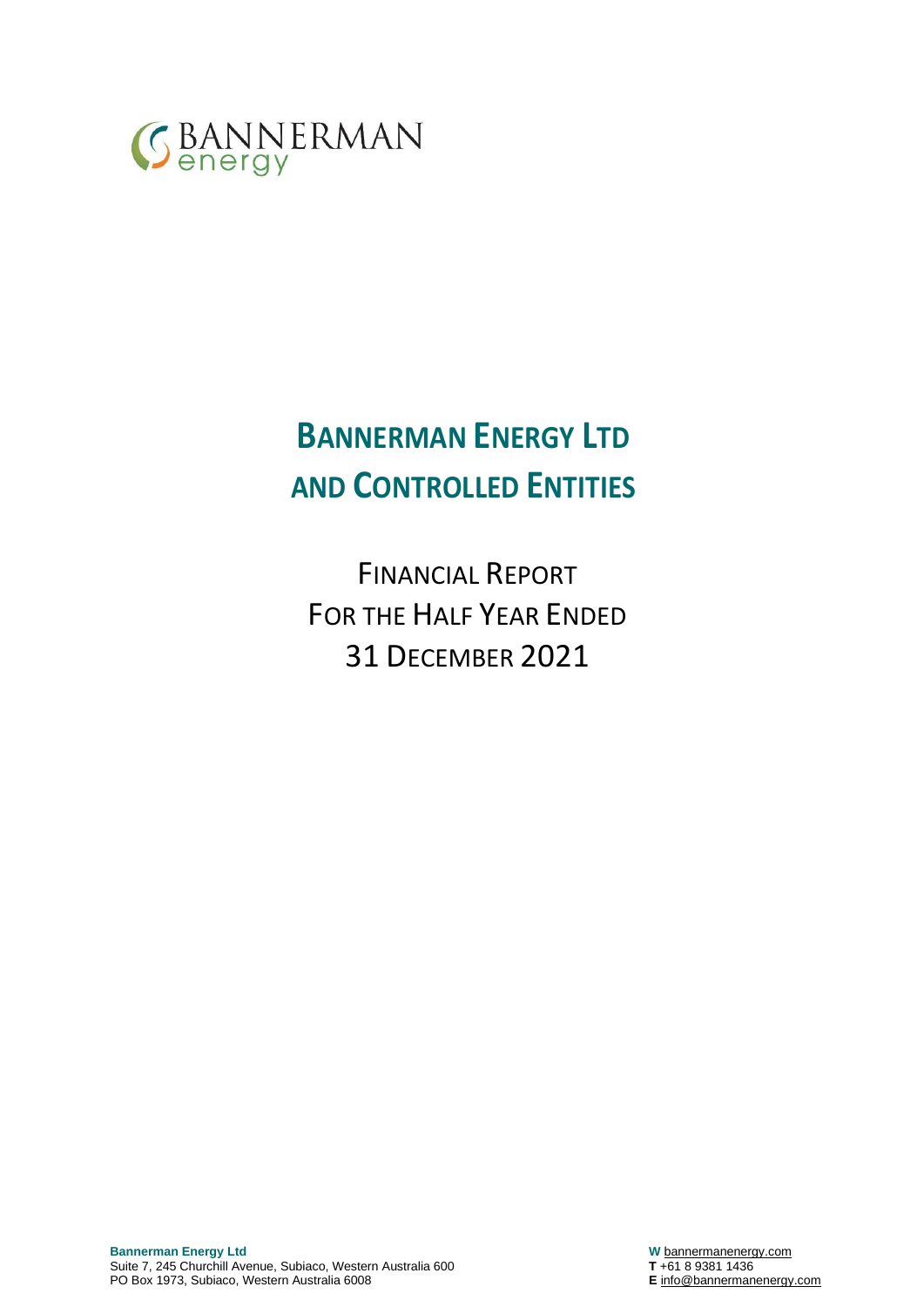

# **BANNERMAN ENERGY LTD AND CONTROLLED ENTITIES**

FINANCIAL REPORT FOR THE HALF YEAR ENDED 31 DECEMBER 2021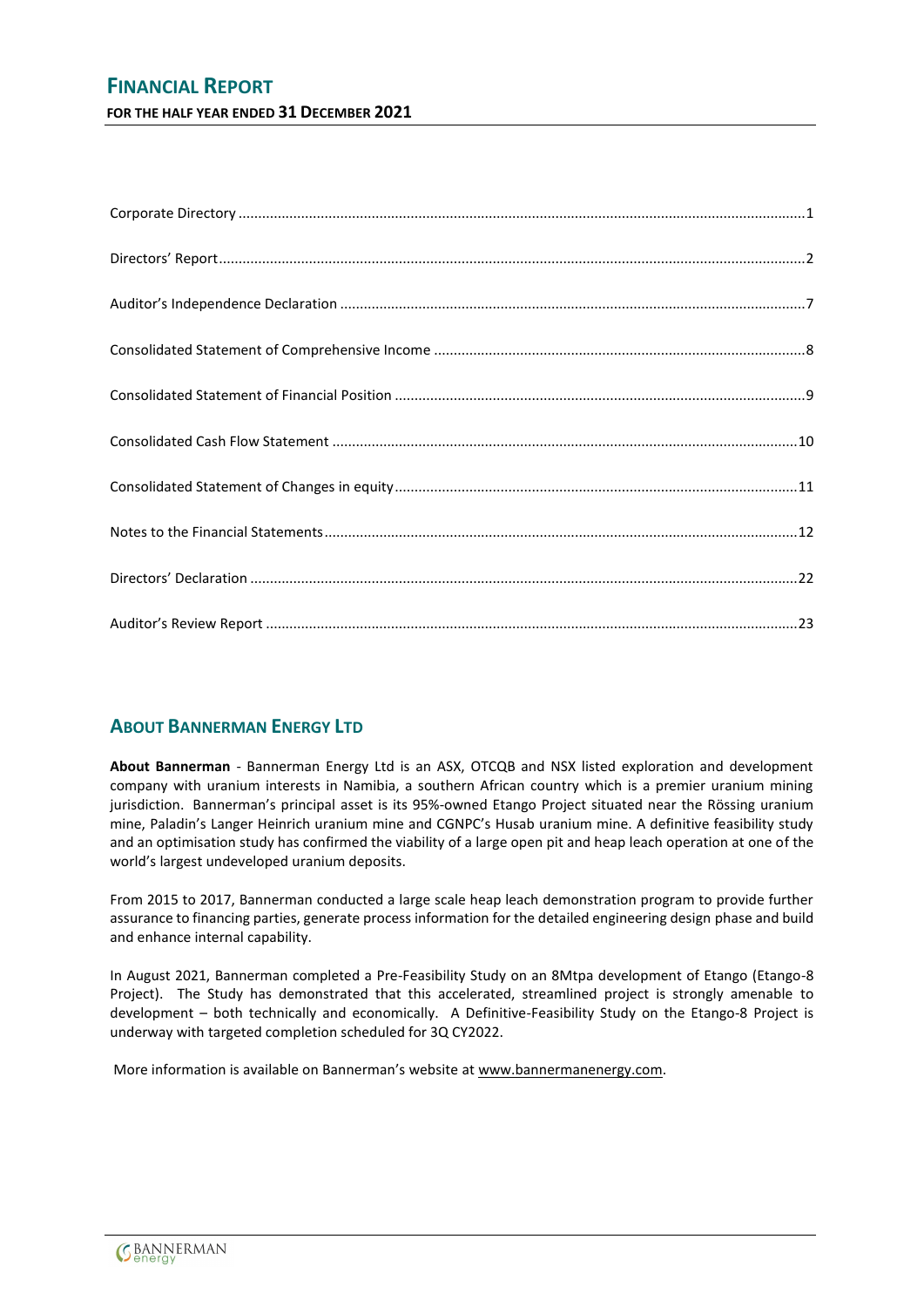### **FINANCIAL REPORT FOR THE HALF YEAR ENDED 31 DECEMBER 2021**

### **ABOUT BANNERMAN ENERGY LTD**

**About Bannerman** - Bannerman Energy Ltd is an ASX, OTCQB and NSX listed exploration and development company with uranium interests in Namibia, a southern African country which is a premier uranium mining jurisdiction. Bannerman's principal asset is its 95%-owned Etango Project situated near the Rössing uranium mine, Paladin's Langer Heinrich uranium mine and CGNPC's Husab uranium mine. A definitive feasibility study and an optimisation study has confirmed the viability of a large open pit and heap leach operation at one of the world's largest undeveloped uranium deposits.

From 2015 to 2017, Bannerman conducted a large scale heap leach demonstration program to provide further assurance to financing parties, generate process information for the detailed engineering design phase and build and enhance internal capability.

In August 2021, Bannerman completed a Pre-Feasibility Study on an 8Mtpa development of Etango (Etango-8 Project). The Study has demonstrated that this accelerated, streamlined project is strongly amenable to development – both technically and economically. A Definitive-Feasibility Study on the Etango-8 Project is underway with targeted completion scheduled for 3Q CY2022.

More information is available on Bannerman's website a[t www.bannermanenergy.com.](http://www.bannermanenergy.com/)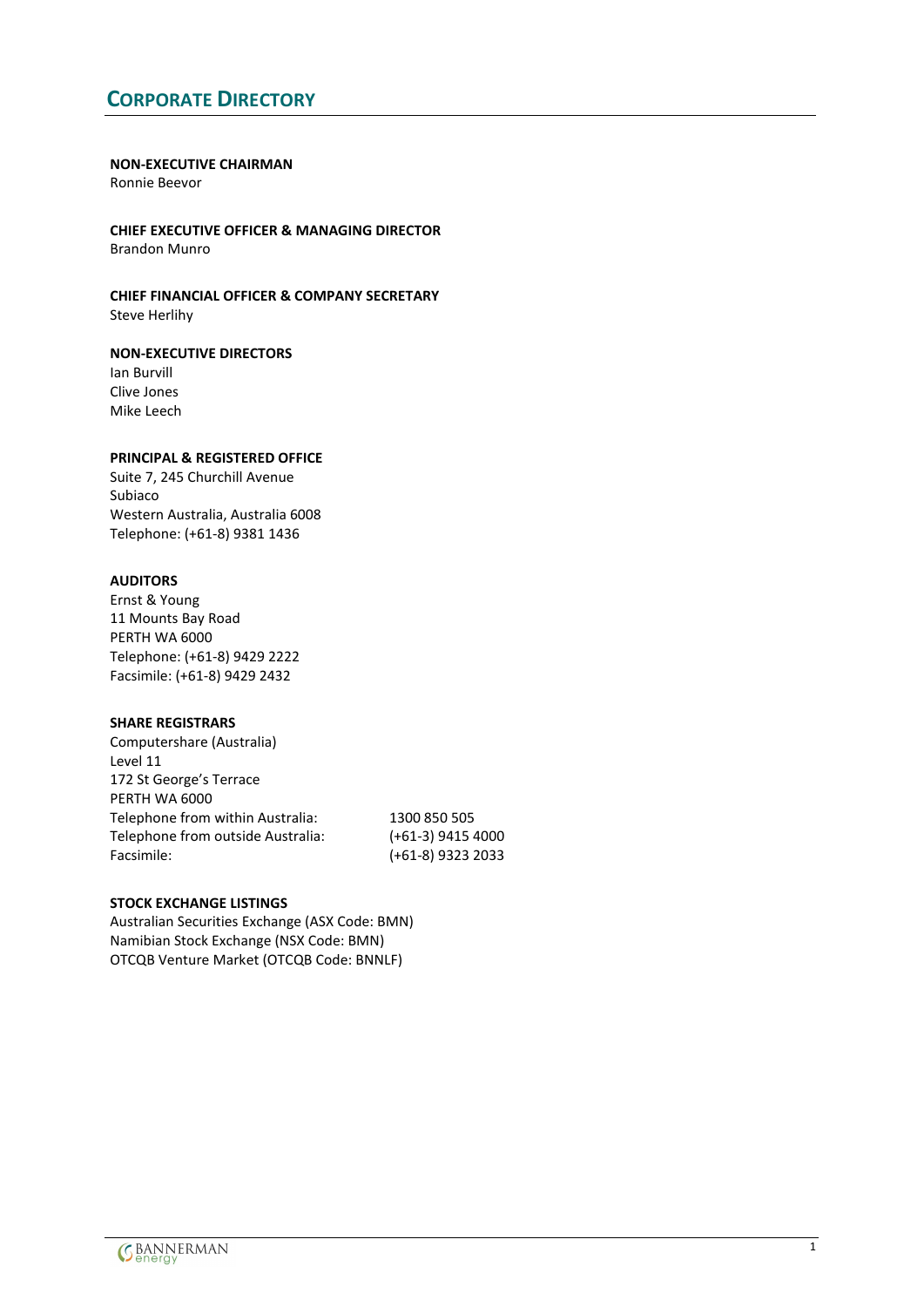### <span id="page-2-0"></span>**CORPORATE DIRECTORY**

#### **NON-EXECUTIVE CHAIRMAN**

Ronnie Beevor

**CHIEF EXECUTIVE OFFICER & MANAGING DIRECTOR** Brandon Munro

**CHIEF FINANCIAL OFFICER & COMPANY SECRETARY** Steve Herlihy

#### **NON-EXECUTIVE DIRECTORS**

Ian Burvill Clive Jones Mike Leech

#### **PRINCIPAL & REGISTERED OFFICE**

Suite 7, 245 Churchill Avenue Subiaco Western Australia, Australia 6008 Telephone: (+61-8) 9381 1436

#### **AUDITORS**

Ernst & Young 11 Mounts Bay Road PERTH WA 6000 Telephone: (+61-8) 9429 2222 Facsimile: (+61-8) 9429 2432

#### **SHARE REGISTRARS**

Computershare (Australia) Level 11 172 St George's Terrace PERTH WA 6000 Telephone from within Australia: 1300 850 505 Telephone from outside Australia: (+61-3) 9415 4000 Facsimile: (+61-8) 9323 2033

#### **STOCK EXCHANGE LISTINGS**

Australian Securities Exchange (ASX Code: BMN) Namibian Stock Exchange (NSX Code: BMN) OTCQB Venture Market (OTCQB Code: BNNLF)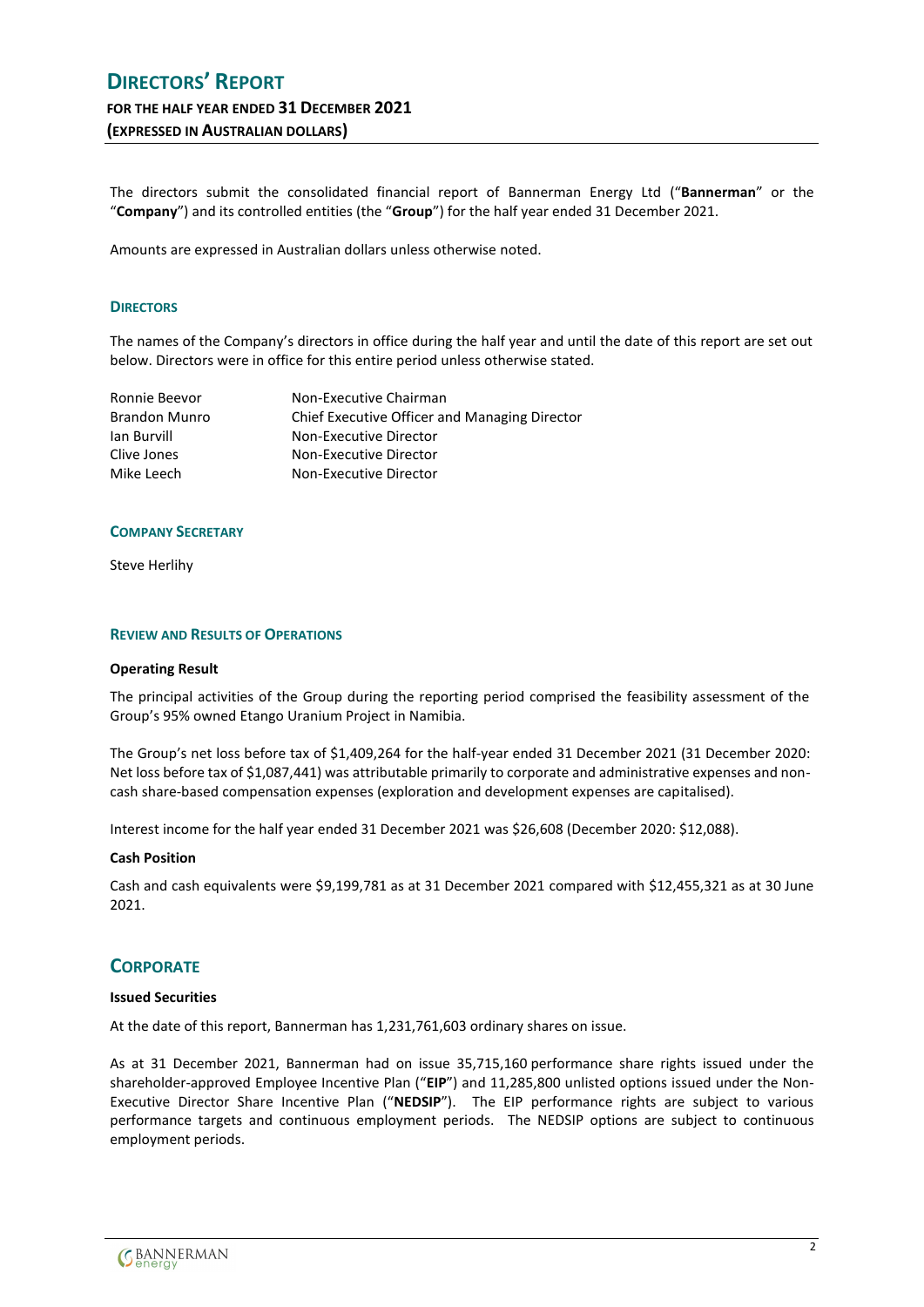<span id="page-3-0"></span>The directors submit the consolidated financial report of Bannerman Energy Ltd ("**Bannerman**" or the "**Company**") and its controlled entities (the "**Group**") for the half year ended 31 December 2021.

Amounts are expressed in Australian dollars unless otherwise noted.

#### **DIRECTORS**

The names of the Company's directors in office during the half year and until the date of this report are set out below. Directors were in office for this entire period unless otherwise stated.

| Ronnie Beevor        | Non-Executive Chairman                        |
|----------------------|-----------------------------------------------|
| <b>Brandon Munro</b> | Chief Executive Officer and Managing Director |
| lan Burvill          | Non-Executive Director                        |
| Clive Jones          | Non-Executive Director                        |
| Mike Leech           | Non-Executive Director                        |

#### **COMPANY SECRETARY**

Steve Herlihy

#### **REVIEW AND RESULTS OF OPERATIONS**

#### **Operating Result**

The principal activities of the Group during the reporting period comprised the feasibility assessment of the Group's 95% owned Etango Uranium Project in Namibia.

The Group's net loss before tax of \$1,409,264 for the half-year ended 31 December 2021 (31 December 2020: Net loss before tax of \$1,087,441) was attributable primarily to corporate and administrative expenses and noncash share-based compensation expenses (exploration and development expenses are capitalised).

Interest income for the half year ended 31 December 2021 was \$26,608 (December 2020: \$12,088).

#### **Cash Position**

Cash and cash equivalents were \$9,199,781 as at 31 December 2021 compared with \$12,455,321 as at 30 June 2021.

### **CORPORATE**

#### **Issued Securities**

At the date of this report, Bannerman has 1,231,761,603 ordinary shares on issue.

As at 31 December 2021, Bannerman had on issue 35,715,160 performance share rights issued under the shareholder-approved Employee Incentive Plan ("**EIP**") and 11,285,800 unlisted options issued under the Non-Executive Director Share Incentive Plan ("**NEDSIP**"). The EIP performance rights are subject to various performance targets and continuous employment periods. The NEDSIP options are subject to continuous employment periods.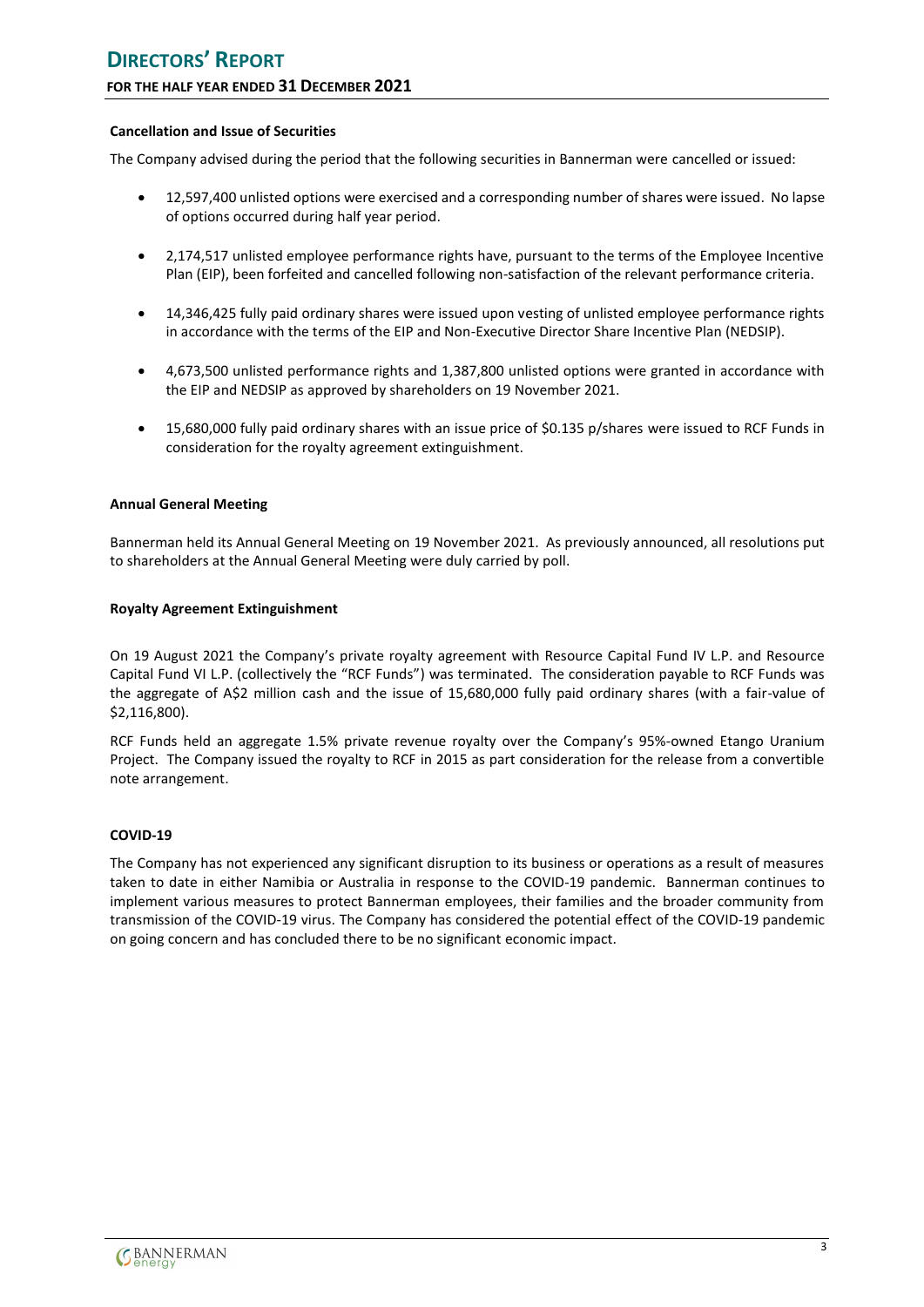#### **Cancellation and Issue of Securities**

The Company advised during the period that the following securities in Bannerman were cancelled or issued:

- 12,597,400 unlisted options were exercised and a corresponding number of shares were issued. No lapse of options occurred during half year period.
- 2,174,517 unlisted employee performance rights have, pursuant to the terms of the Employee Incentive Plan (EIP), been forfeited and cancelled following non-satisfaction of the relevant performance criteria.
- 14,346,425 fully paid ordinary shares were issued upon vesting of unlisted employee performance rights in accordance with the terms of the EIP and Non-Executive Director Share Incentive Plan (NEDSIP).
- 4,673,500 unlisted performance rights and 1,387,800 unlisted options were granted in accordance with the EIP and NEDSIP as approved by shareholders on 19 November 2021.
- 15,680,000 fully paid ordinary shares with an issue price of \$0.135 p/shares were issued to RCF Funds in consideration for the royalty agreement extinguishment.

#### **Annual General Meeting**

Bannerman held its Annual General Meeting on 19 November 2021. As previously announced, all resolutions put to shareholders at the Annual General Meeting were duly carried by poll.

#### **Royalty Agreement Extinguishment**

On 19 August 2021 the Company's private royalty agreement with Resource Capital Fund IV L.P. and Resource Capital Fund VI L.P. (collectively the "RCF Funds") was terminated. The consideration payable to RCF Funds was the aggregate of A\$2 million cash and the issue of 15,680,000 fully paid ordinary shares (with a fair-value of \$2,116,800).

RCF Funds held an aggregate 1.5% private revenue royalty over the Company's 95%-owned Etango Uranium Project. The Company issued the royalty to RCF in 2015 as part consideration for the release from a convertible note arrangement.

#### **COVID-19**

The Company has not experienced any significant disruption to its business or operations as a result of measures taken to date in either Namibia or Australia in response to the COVID-19 pandemic. Bannerman continues to implement various measures to protect Bannerman employees, their families and the broader community from transmission of the COVID-19 virus. The Company has considered the potential effect of the COVID-19 pandemic on going concern and has concluded there to be no significant economic impact.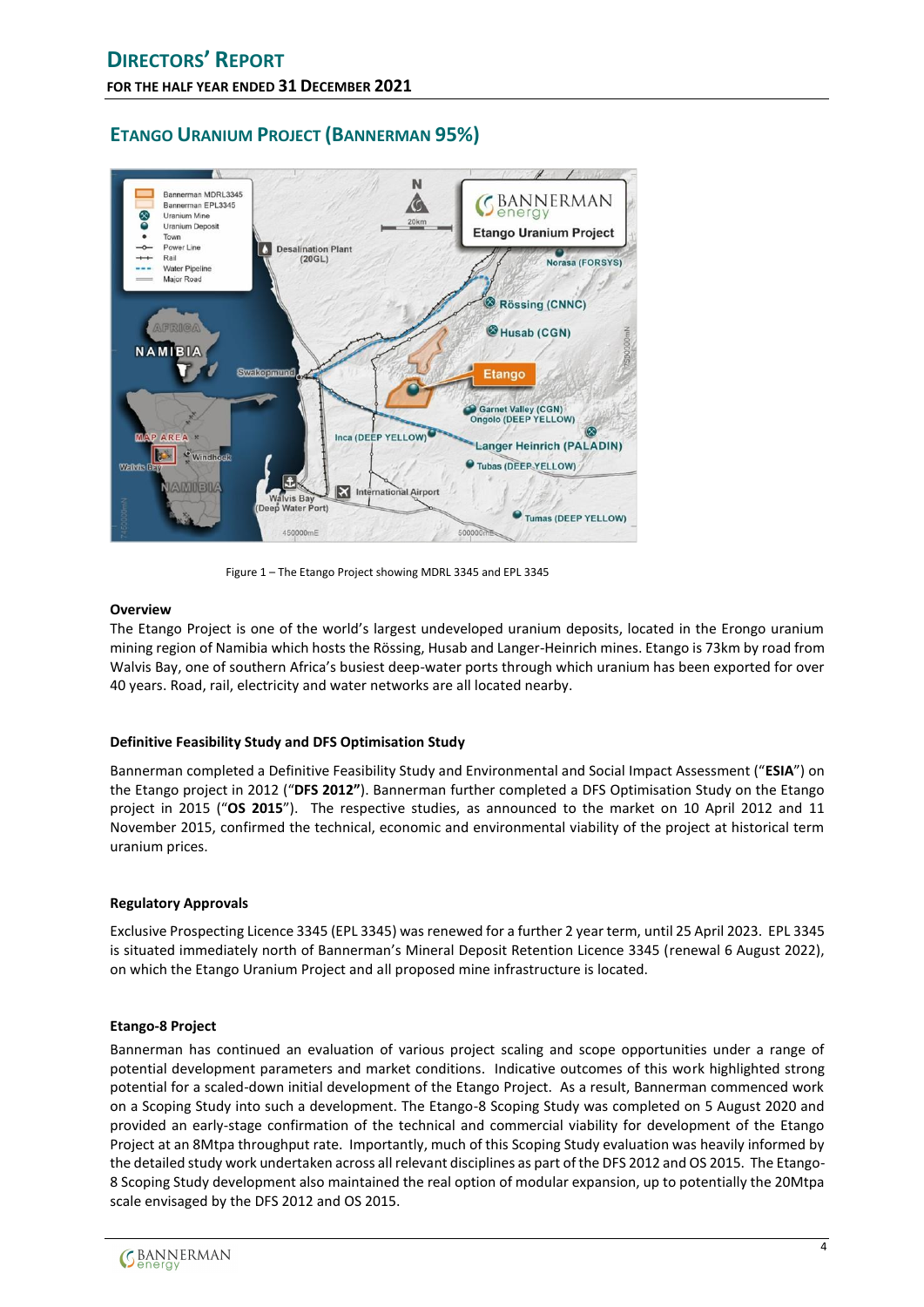

### **ETANGO URANIUM PROJECT (BANNERMAN 95%)**

Figure 1 – The Etango Project showing MDRL 3345 and EPL 3345

#### **Overview**

The Etango Project is one of the world's largest undeveloped uranium deposits, located in the Erongo uranium mining region of Namibia which hosts the Rössing, Husab and Langer-Heinrich mines. Etango is 73km by road from Walvis Bay, one of southern Africa's busiest deep-water ports through which uranium has been exported for over 40 years. Road, rail, electricity and water networks are all located nearby.

#### **Definitive Feasibility Study and DFS Optimisation Study**

Bannerman completed a Definitive Feasibility Study and Environmental and Social Impact Assessment ("**ESIA**") on the Etango project in 2012 ("**DFS 2012"**). Bannerman further completed a DFS Optimisation Study on the Etango project in 2015 ("**OS 2015**"). The respective studies, as announced to the market on 10 April 2012 and 11 November 2015, confirmed the technical, economic and environmental viability of the project at historical term uranium prices.

#### **Regulatory Approvals**

Exclusive Prospecting Licence 3345 (EPL 3345) was renewed for a further 2 year term, until 25 April 2023. EPL 3345 is situated immediately north of Bannerman's Mineral Deposit Retention Licence 3345 (renewal 6 August 2022), on which the Etango Uranium Project and all proposed mine infrastructure is located.

#### **Etango-8 Project**

Bannerman has continued an evaluation of various project scaling and scope opportunities under a range of potential development parameters and market conditions. Indicative outcomes of this work highlighted strong potential for a scaled-down initial development of the Etango Project. As a result, Bannerman commenced work on a Scoping Study into such a development. The Etango-8 Scoping Study was completed on 5 August 2020 and provided an early-stage confirmation of the technical and commercial viability for development of the Etango Project at an 8Mtpa throughput rate. Importantly, much of this Scoping Study evaluation was heavily informed by the detailed study work undertaken across all relevant disciplines as part of the DFS 2012 and OS 2015. The Etango-8 Scoping Study development also maintained the real option of modular expansion, up to potentially the 20Mtpa scale envisaged by the DFS 2012 and OS 2015.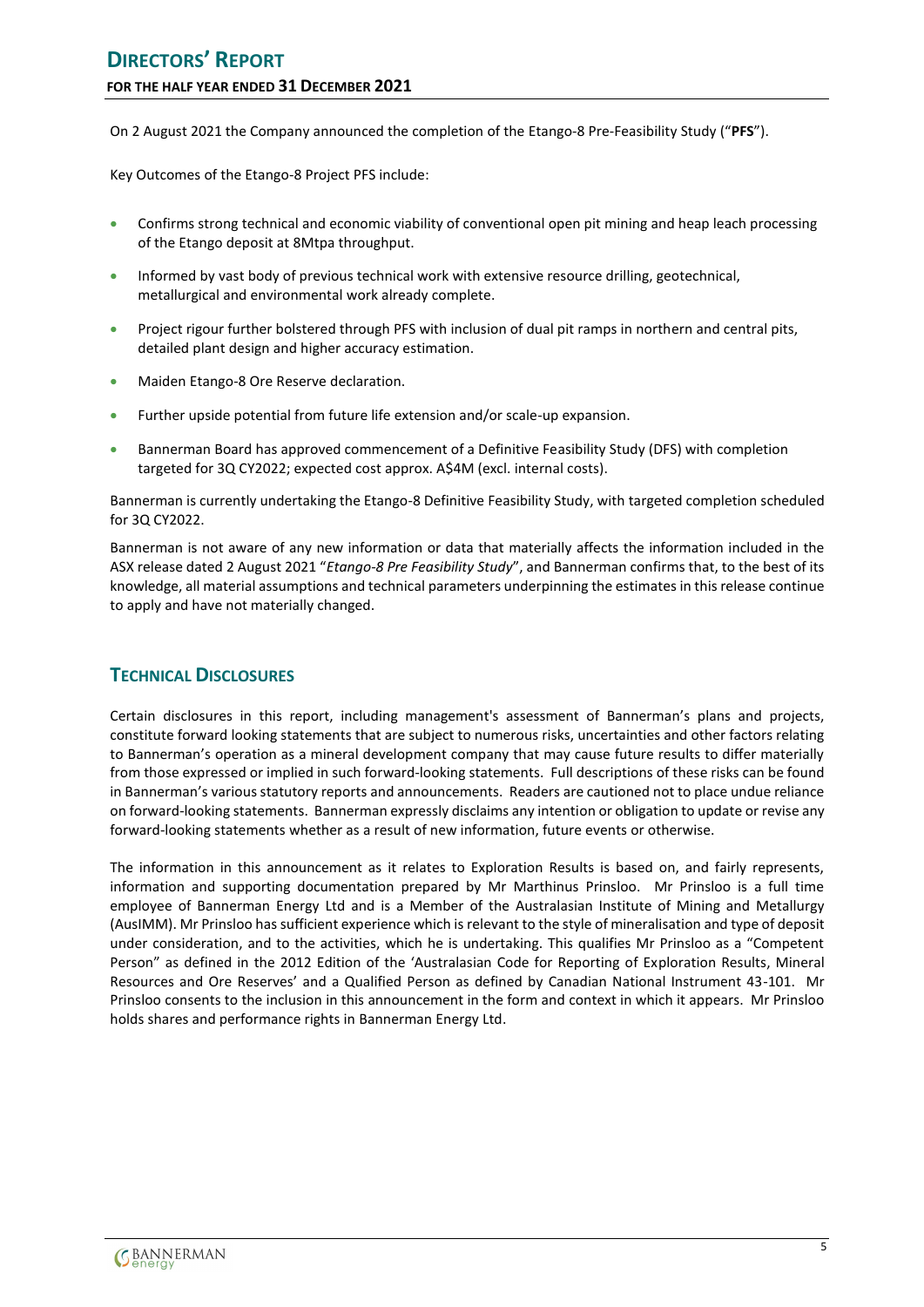On 2 August 2021 the Company announced the completion of the Etango-8 Pre-Feasibility Study ("**PFS**").

Key Outcomes of the Etango-8 Project PFS include:

- Confirms strong technical and economic viability of conventional open pit mining and heap leach processing of the Etango deposit at 8Mtpa throughput.
- Informed by vast body of previous technical work with extensive resource drilling, geotechnical, metallurgical and environmental work already complete.
- Project rigour further bolstered through PFS with inclusion of dual pit ramps in northern and central pits, detailed plant design and higher accuracy estimation.
- Maiden Etango-8 Ore Reserve declaration.
- Further upside potential from future life extension and/or scale-up expansion.
- Bannerman Board has approved commencement of a Definitive Feasibility Study (DFS) with completion targeted for 3Q CY2022; expected cost approx. A\$4M (excl. internal costs).

Bannerman is currently undertaking the Etango-8 Definitive Feasibility Study, with targeted completion scheduled for 3Q CY2022.

Bannerman is not aware of any new information or data that materially affects the information included in the ASX release dated 2 August 2021 "*Etango-8 Pre Feasibility Study*", and Bannerman confirms that, to the best of its knowledge, all material assumptions and technical parameters underpinning the estimates in this release continue to apply and have not materially changed.

### **TECHNICAL DISCLOSURES**

Certain disclosures in this report, including management's assessment of Bannerman's plans and projects, constitute forward looking statements that are subject to numerous risks, uncertainties and other factors relating to Bannerman's operation as a mineral development company that may cause future results to differ materially from those expressed or implied in such forward-looking statements. Full descriptions of these risks can be found in Bannerman's various statutory reports and announcements. Readers are cautioned not to place undue reliance on forward-looking statements. Bannerman expressly disclaims any intention or obligation to update or revise any forward-looking statements whether as a result of new information, future events or otherwise.

The information in this announcement as it relates to Exploration Results is based on, and fairly represents, information and supporting documentation prepared by Mr Marthinus Prinsloo. Mr Prinsloo is a full time employee of Bannerman Energy Ltd and is a Member of the Australasian Institute of Mining and Metallurgy (AusIMM). Mr Prinsloo has sufficient experience which is relevant to the style of mineralisation and type of deposit under consideration, and to the activities, which he is undertaking. This qualifies Mr Prinsloo as a "Competent Person" as defined in the 2012 Edition of the 'Australasian Code for Reporting of Exploration Results, Mineral Resources and Ore Reserves' and a Qualified Person as defined by Canadian National Instrument 43-101. Mr Prinsloo consents to the inclusion in this announcement in the form and context in which it appears. Mr Prinsloo holds shares and performance rights in Bannerman Energy Ltd.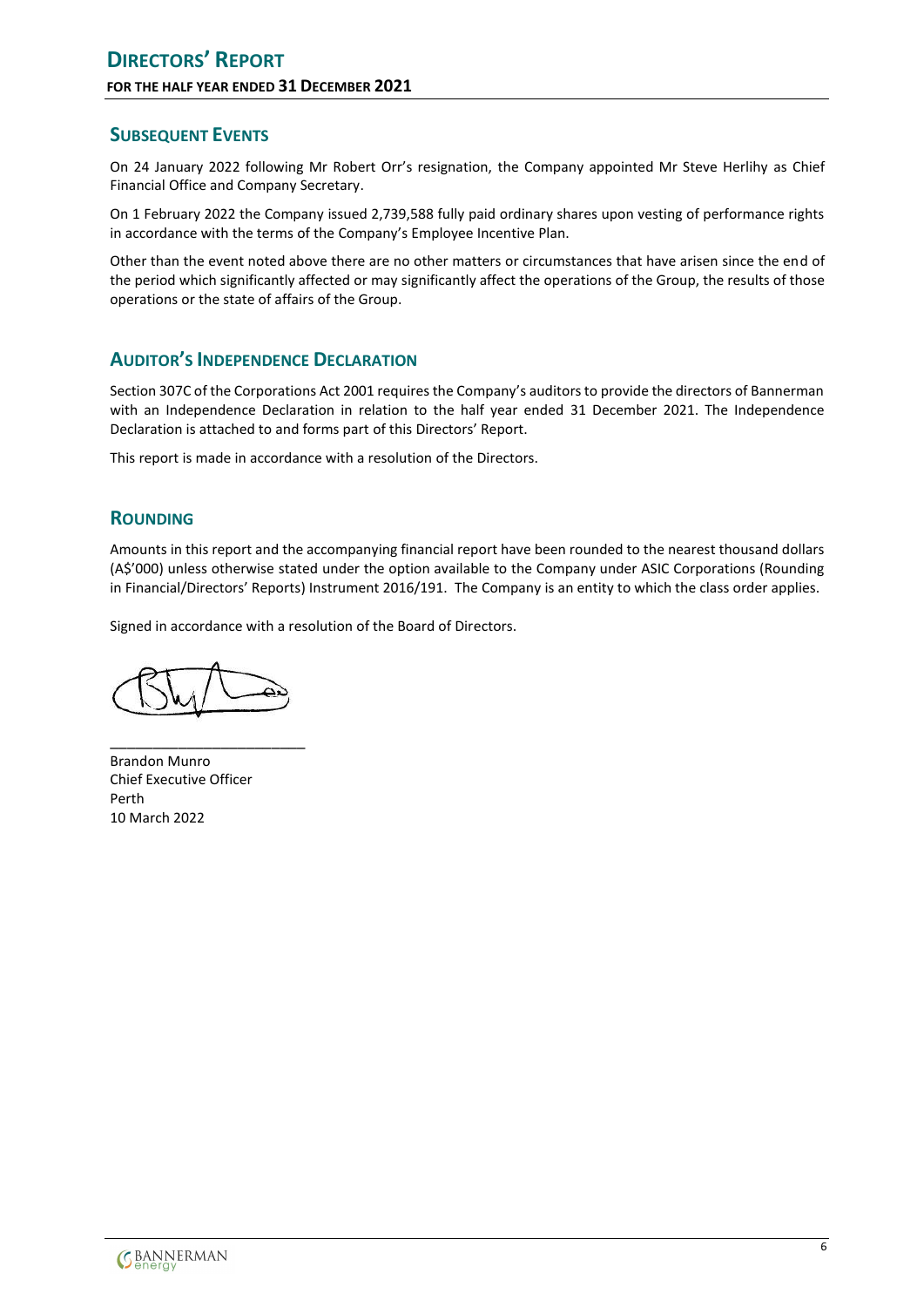### **SUBSEQUENT EVENTS**

On 24 January 2022 following Mr Robert Orr's resignation, the Company appointed Mr Steve Herlihy as Chief Financial Office and Company Secretary.

On 1 February 2022 the Company issued 2,739,588 fully paid ordinary shares upon vesting of performance rights in accordance with the terms of the Company's Employee Incentive Plan.

Other than the event noted above there are no other matters or circumstances that have arisen since the end of the period which significantly affected or may significantly affect the operations of the Group, the results of those operations or the state of affairs of the Group.

### **AUDITOR'S INDEPENDENCE DECLARATION**

Section 307C of the Corporations Act 2001 requires the Company's auditors to provide the directors of Bannerman with an Independence Declaration in relation to the half year ended 31 December 2021. The Independence Declaration is attached to and forms part of this Directors' Report.

This report is made in accordance with a resolution of the Directors.

### **ROUNDING**

Amounts in this report and the accompanying financial report have been rounded to the nearest thousand dollars (A\$'000) unless otherwise stated under the option available to the Company under ASIC Corporations (Rounding in Financial/Directors' Reports) Instrument 2016/191. The Company is an entity to which the class order applies.

Signed in accordance with a resolution of the Board of Directors.

\_\_\_\_\_\_\_\_\_\_\_\_\_\_\_\_\_\_\_\_\_\_\_

Brandon Munro Chief Executive Officer Perth 10 March 2022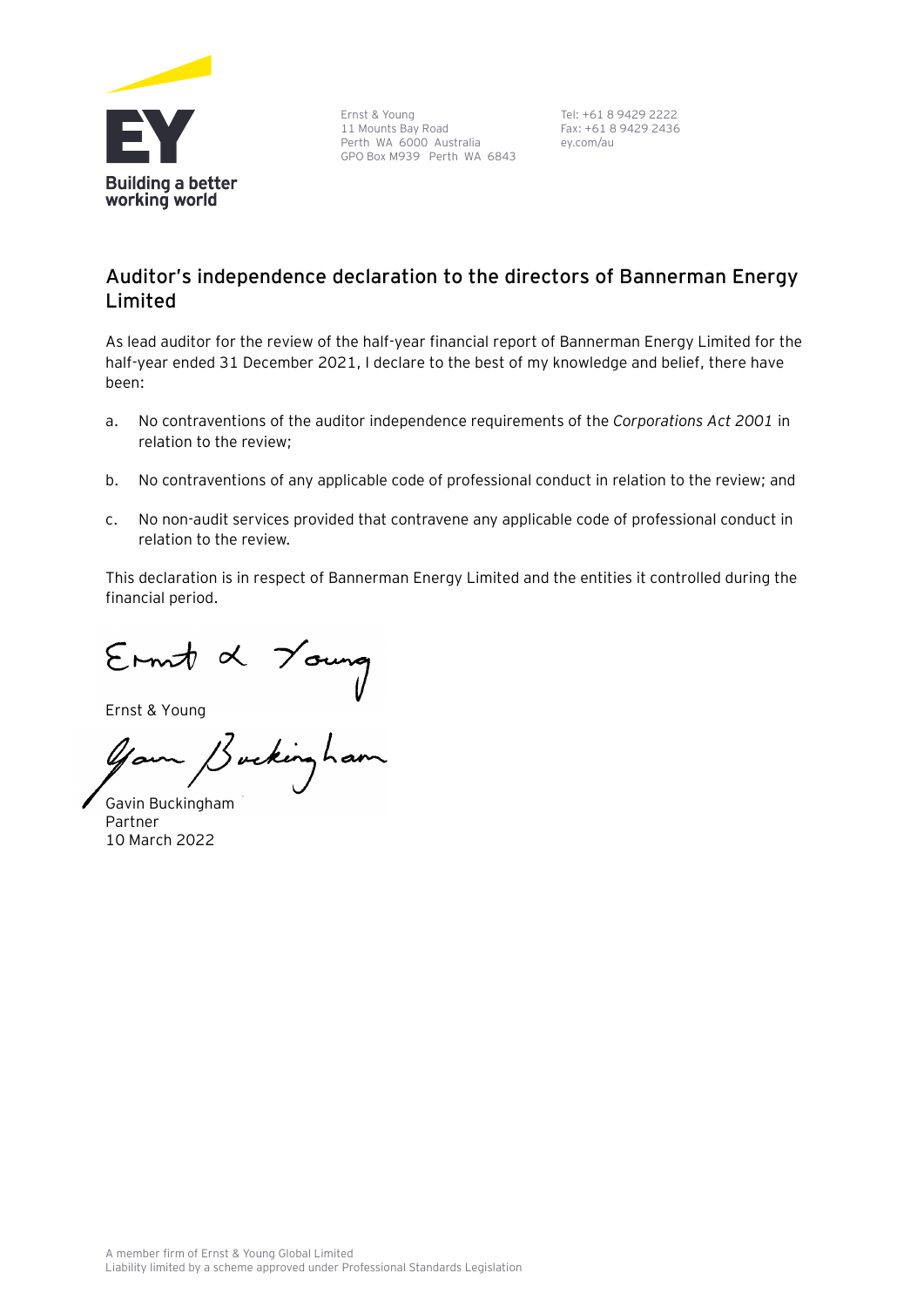

Ernst & Young 11 Mounts Bay Road Perth WA 6000 Australia GPO Box M939 Perth WA 6843

Tel: +61 8 9429 2222 Fax: +61 8 9429 2436 ey.com/au

### **Auditor's independence declaration to the directors of Bannerman Energy Limited**

As lead auditor for the review of the half-year financial report of Bannerman Energy Limited for the half-year ended 31 December 2021, I declare to the best of my knowledge and belief, there have been:

- a. No contraventions of the auditor independence requirements of the *Corporations Act 2001* in relation to the review;
- b. No contraventions of any applicable code of professional conduct in relation to the review; and
- c. No non-audit services provided that contravene any applicable code of professional conduct in relation to the review.

This declaration is in respect of Bannerman Energy Limited and the entities it controlled during the financial period.

Ernst & Young<br>Ernst & Young<br>Your Bucking ham

Gavin Buckingham Partner 10 March 2022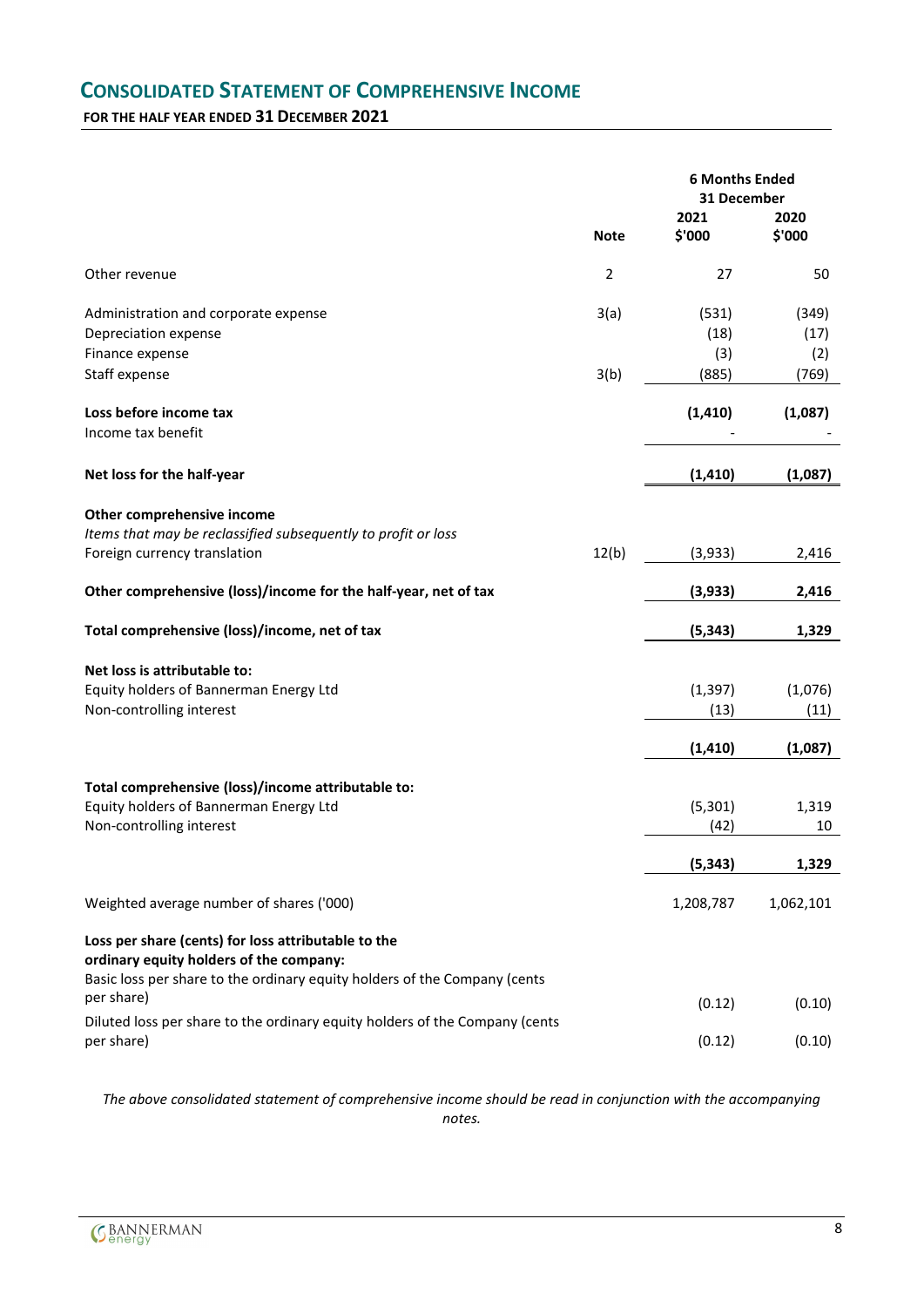### <span id="page-9-0"></span>**CONSOLIDATED STATEMENT OF COMPREHENSIVE INCOME FOR THE HALF YEAR ENDED 31 DECEMBER 2021**

|                                                                                                |             | <b>6 Months Ended</b><br>31 December |           |
|------------------------------------------------------------------------------------------------|-------------|--------------------------------------|-----------|
|                                                                                                |             | 2021                                 | 2020      |
|                                                                                                | <b>Note</b> | \$'000                               | \$'000    |
|                                                                                                |             |                                      |           |
| Other revenue                                                                                  | 2           | 27                                   | 50        |
| Administration and corporate expense                                                           | 3(a)        | (531)                                | (349)     |
| Depreciation expense                                                                           |             | (18)                                 | (17)      |
| Finance expense                                                                                |             | (3)                                  | (2)       |
| Staff expense                                                                                  | 3(b)        | (885)                                | (769)     |
| Loss before income tax                                                                         |             | (1, 410)                             | (1,087)   |
| Income tax benefit                                                                             |             |                                      |           |
| Net loss for the half-year                                                                     |             | (1, 410)                             | (1,087)   |
| Other comprehensive income                                                                     |             |                                      |           |
| Items that may be reclassified subsequently to profit or loss                                  |             |                                      |           |
| Foreign currency translation                                                                   | 12(b)       | (3,933)                              | 2,416     |
| Other comprehensive (loss)/income for the half-year, net of tax                                |             | (3,933)                              | 2,416     |
| Total comprehensive (loss)/income, net of tax                                                  |             | (5, 343)                             | 1,329     |
|                                                                                                |             |                                      |           |
| Net loss is attributable to:                                                                   |             |                                      |           |
| Equity holders of Bannerman Energy Ltd                                                         |             | (1, 397)                             | (1,076)   |
| Non-controlling interest                                                                       |             | (13)                                 | (11)      |
|                                                                                                |             | (1, 410)                             | (1,087)   |
| Total comprehensive (loss)/income attributable to:                                             |             |                                      |           |
| Equity holders of Bannerman Energy Ltd                                                         |             | (5, 301)                             | 1,319     |
| Non-controlling interest                                                                       |             | (42)                                 | 10        |
|                                                                                                |             | (5, 343)                             | 1,329     |
|                                                                                                |             |                                      |           |
| Weighted average number of shares ('000)                                                       |             | 1,208,787                            | 1,062,101 |
| Loss per share (cents) for loss attributable to the<br>ordinary equity holders of the company: |             |                                      |           |
| Basic loss per share to the ordinary equity holders of the Company (cents<br>per share)        |             | (0.12)                               | (0.10)    |
| Diluted loss per share to the ordinary equity holders of the Company (cents                    |             |                                      |           |
| per share)                                                                                     |             | (0.12)                               | (0.10)    |

*The above consolidated statement of comprehensive income should be read in conjunction with the accompanying notes.*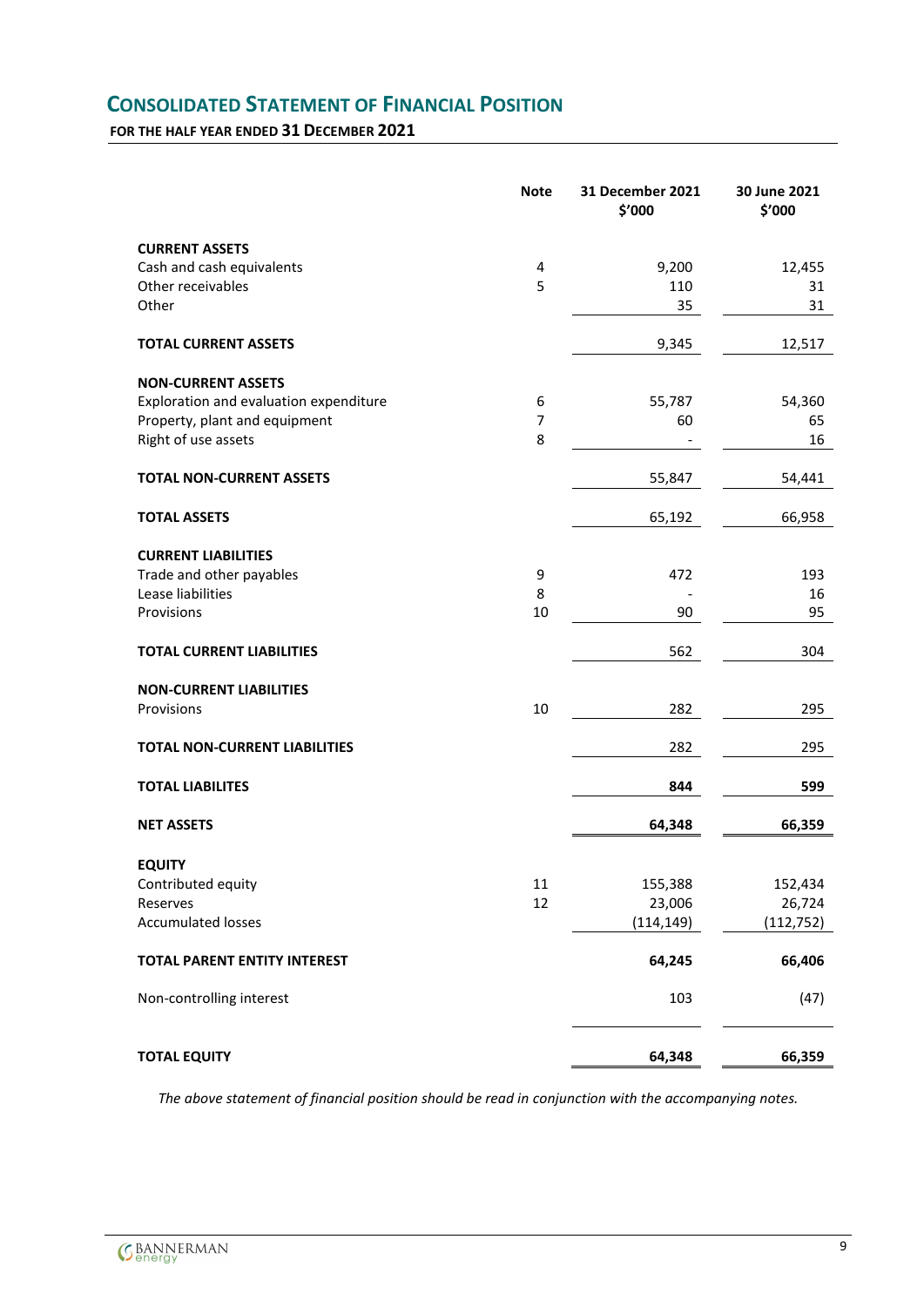### <span id="page-10-0"></span>**CONSOLIDATED STATEMENT OF FINANCIAL POSITION**

**FOR THE HALF YEAR ENDED 31 DECEMBER 2021**

|                                        | <b>Note</b>    | 31 December 2021<br>\$'000 | 30 June 2021<br>\$'000 |
|----------------------------------------|----------------|----------------------------|------------------------|
| <b>CURRENT ASSETS</b>                  |                |                            |                        |
| Cash and cash equivalents              | 4              | 9,200                      | 12,455                 |
| Other receivables                      | 5              | 110                        | 31                     |
| Other                                  |                | 35                         | 31                     |
| <b>TOTAL CURRENT ASSETS</b>            |                | 9,345                      | 12,517                 |
| <b>NON-CURRENT ASSETS</b>              |                |                            |                        |
| Exploration and evaluation expenditure | 6              | 55,787                     | 54,360                 |
| Property, plant and equipment          | $\overline{7}$ | 60                         | 65                     |
| Right of use assets                    | 8              |                            | 16                     |
| <b>TOTAL NON-CURRENT ASSETS</b>        |                | 55,847                     | 54,441                 |
| <b>TOTAL ASSETS</b>                    |                | 65,192                     | 66,958                 |
| <b>CURRENT LIABILITIES</b>             |                |                            |                        |
| Trade and other payables               | 9              | 472                        | 193                    |
| Lease liabilities                      | 8              |                            | 16                     |
| Provisions                             | 10             | 90                         | 95                     |
| <b>TOTAL CURRENT LIABILITIES</b>       |                | 562                        | 304                    |
| <b>NON-CURRENT LIABILITIES</b>         |                |                            |                        |
| Provisions                             | 10             | 282                        | 295                    |
| <b>TOTAL NON-CURRENT LIABILITIES</b>   |                | 282                        | 295                    |
| <b>TOTAL LIABILITES</b>                |                | 844                        | 599                    |
| <b>NET ASSETS</b>                      |                | 64,348                     | 66,359                 |
| <b>EQUITY</b>                          |                |                            |                        |
| Contributed equity                     | 11             | 155,388                    | 152,434                |
| Reserves                               | 12             | 23,006                     | 26,724                 |
| <b>Accumulated losses</b>              |                | (114, 149)                 | (112, 752)             |
| TOTAL PARENT ENTITY INTEREST           |                | 64,245                     | 66,406                 |
| Non-controlling interest               |                | 103                        | (47)                   |
| <b>TOTAL EQUITY</b>                    |                | 64,348                     | 66,359                 |

*The above statement of financial position should be read in conjunction with the accompanying notes.*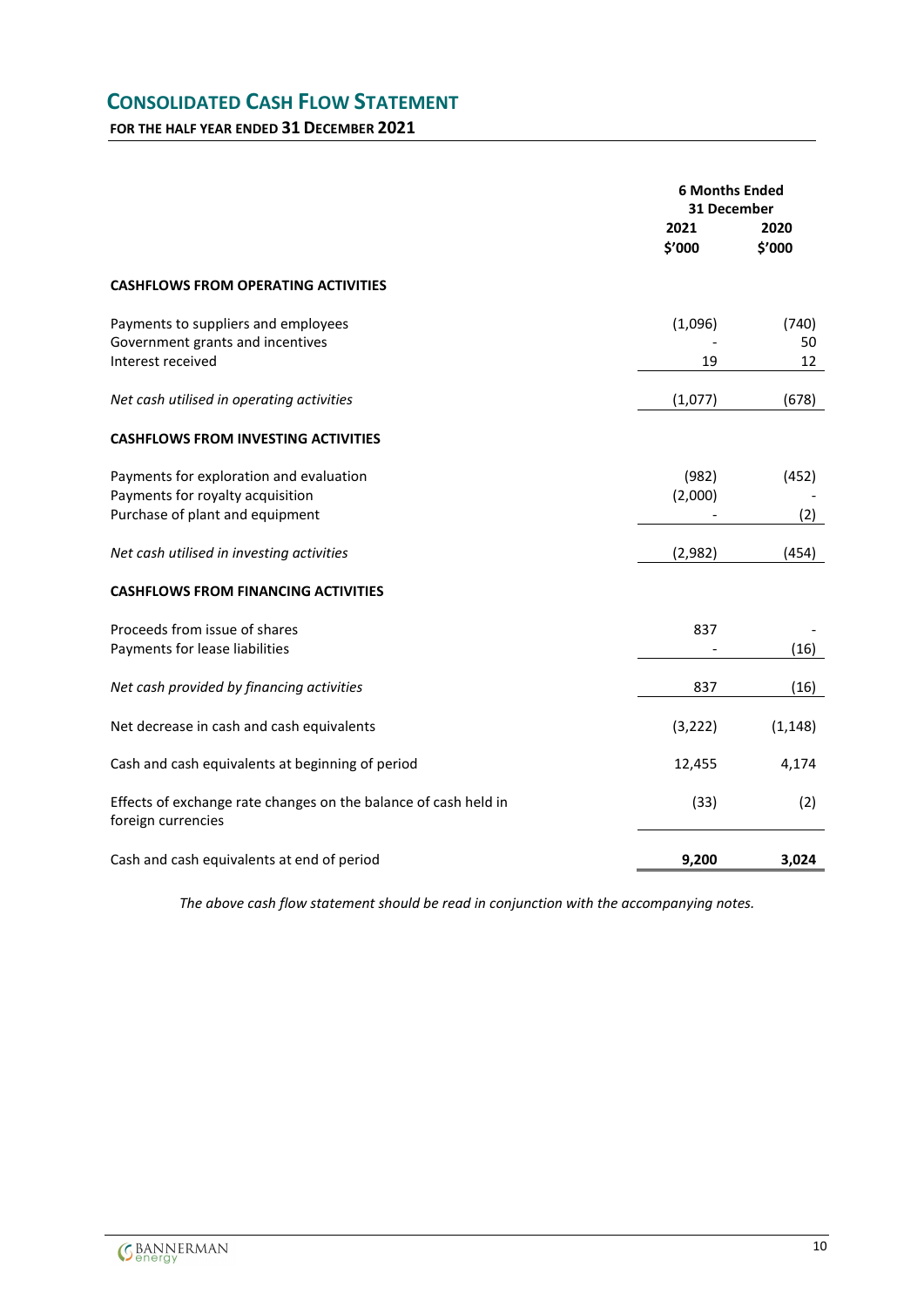## <span id="page-11-0"></span>**CONSOLIDATED CASH FLOW STATEMENT**

**FOR THE HALF YEAR ENDED 31 DECEMBER 2021**

|                                                                                                                | <b>6 Months Ended</b><br>31 December |                   |
|----------------------------------------------------------------------------------------------------------------|--------------------------------------|-------------------|
|                                                                                                                | 2021<br>\$'000                       | 2020<br>\$'000    |
| <b>CASHFLOWS FROM OPERATING ACTIVITIES</b>                                                                     |                                      |                   |
| Payments to suppliers and employees<br>Government grants and incentives<br>Interest received                   | (1,096)<br>19                        | (740)<br>50<br>12 |
| Net cash utilised in operating activities                                                                      | (1,077)                              | (678)             |
| <b>CASHFLOWS FROM INVESTING ACTIVITIES</b>                                                                     |                                      |                   |
| Payments for exploration and evaluation<br>Payments for royalty acquisition<br>Purchase of plant and equipment | (982)<br>(2,000)                     | (452)<br>(2)      |
| Net cash utilised in investing activities                                                                      | (2,982)                              | (454)             |
| <b>CASHFLOWS FROM FINANCING ACTIVITIES</b>                                                                     |                                      |                   |
| Proceeds from issue of shares<br>Payments for lease liabilities                                                | 837                                  | (16)              |
| Net cash provided by financing activities                                                                      | 837                                  | (16)              |
| Net decrease in cash and cash equivalents                                                                      | (3, 222)                             | (1, 148)          |
| Cash and cash equivalents at beginning of period                                                               | 12,455                               | 4,174             |
| Effects of exchange rate changes on the balance of cash held in<br>foreign currencies                          | (33)                                 | (2)               |
| Cash and cash equivalents at end of period                                                                     | 9,200                                | 3,024             |

*The above cash flow statement should be read in conjunction with the accompanying notes.*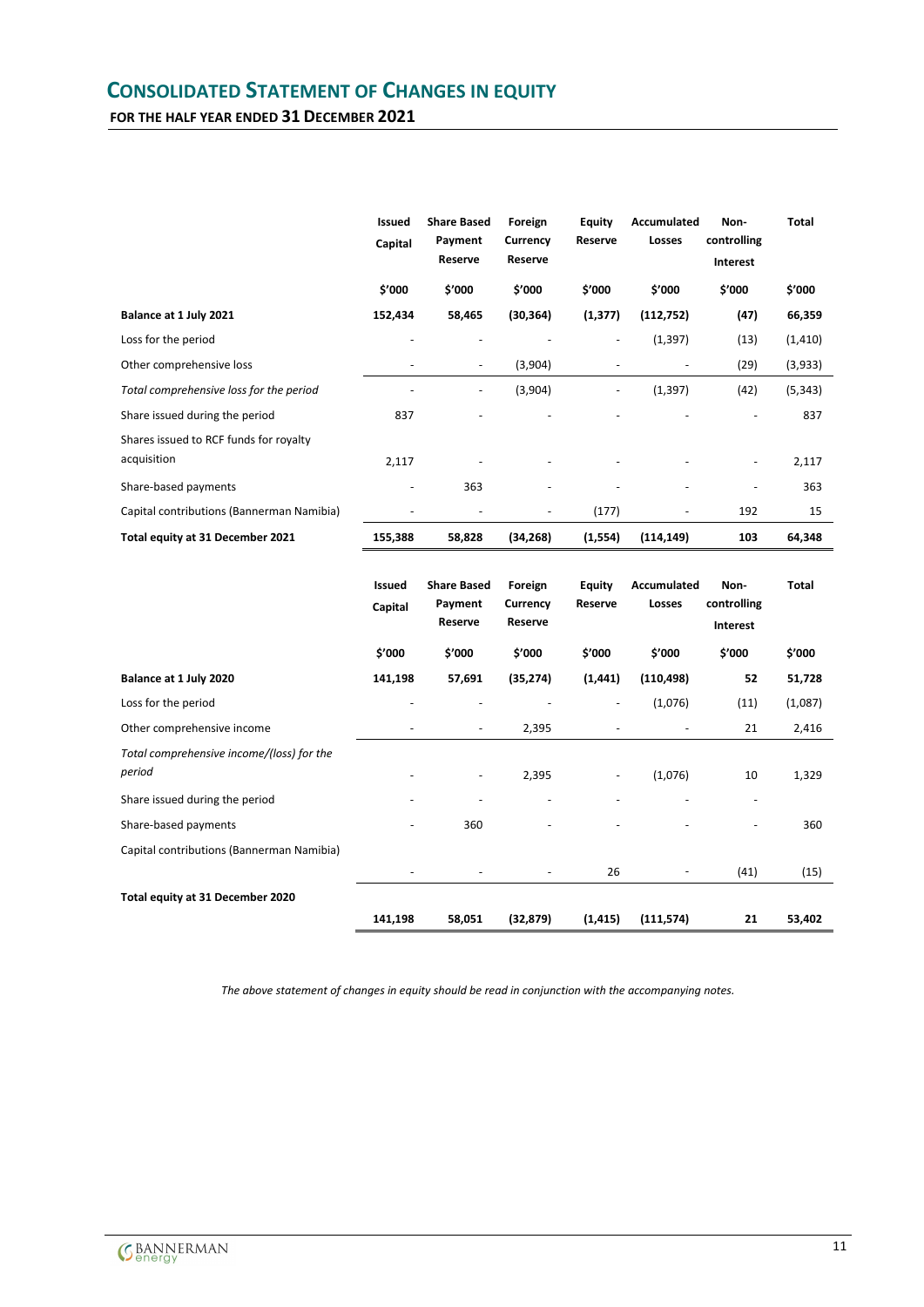### <span id="page-12-0"></span>**CONSOLIDATED STATEMENT OF CHANGES IN EQUITY FOR THE HALF YEAR ENDED 31 DECEMBER 2021**

|                                                     | Issued<br>Capital        | <b>Share Based</b><br>Payment<br>Reserve | Foreign<br>Currency<br>Reserve | <b>Equity</b><br>Reserve | <b>Accumulated</b><br>Losses | Non-<br>controlling<br>Interest | Total        |
|-----------------------------------------------------|--------------------------|------------------------------------------|--------------------------------|--------------------------|------------------------------|---------------------------------|--------------|
|                                                     | \$'000                   | \$'000                                   | \$'000                         | \$'000                   | \$'000                       | \$'000                          | \$'000       |
| Balance at 1 July 2021                              | 152,434                  | 58,465                                   | (30, 364)                      | (1, 377)                 | (112, 752)                   | (47)                            | 66,359       |
| Loss for the period                                 |                          |                                          |                                | $\overline{\phantom{m}}$ | (1, 397)                     | (13)                            | (1, 410)     |
| Other comprehensive loss                            |                          | $\overline{\phantom{a}}$                 | (3,904)                        | $\overline{\phantom{m}}$ |                              | (29)                            | (3,933)      |
| Total comprehensive loss for the period             |                          | $\overline{\phantom{a}}$                 | (3,904)                        | $\overline{\phantom{a}}$ | (1, 397)                     | (42)                            | (5, 343)     |
| Share issued during the period                      | 837                      |                                          |                                |                          |                              |                                 | 837          |
| Shares issued to RCF funds for royalty              |                          |                                          |                                |                          |                              |                                 |              |
| acquisition                                         | 2,117                    |                                          |                                |                          |                              |                                 | 2,117        |
| Share-based payments                                |                          | 363                                      |                                |                          |                              |                                 | 363          |
| Capital contributions (Bannerman Namibia)           |                          | $\overline{\phantom{a}}$                 |                                | (177)                    |                              | 192                             | 15           |
| Total equity at 31 December 2021                    | 155,388                  | 58,828                                   | (34, 268)                      | (1, 554)                 | (114, 149)                   | 103                             | 64,348       |
|                                                     | <b>Issued</b><br>Capital | <b>Share Based</b><br>Payment<br>Reserve | Foreign<br>Currency<br>Reserve | <b>Equity</b><br>Reserve | <b>Accumulated</b><br>Losses | Non-<br>controlling<br>Interest | <b>Total</b> |
|                                                     |                          |                                          |                                |                          |                              |                                 |              |
|                                                     | \$'000                   | \$'000                                   | \$'000                         | \$'000                   | \$'000                       | \$'000                          | \$'000       |
| Balance at 1 July 2020                              | 141,198                  | 57,691                                   | (35, 274)                      | (1, 441)                 | (110, 498)                   | 52                              | 51,728       |
| Loss for the period                                 |                          |                                          |                                |                          | (1,076)                      | (11)                            | (1,087)      |
| Other comprehensive income                          |                          | $\blacksquare$                           | 2,395                          | $\overline{\phantom{m}}$ |                              | 21                              | 2,416        |
| Total comprehensive income/(loss) for the<br>period |                          |                                          | 2,395                          |                          | (1,076)                      | 10                              | 1,329        |
| Share issued during the period                      |                          |                                          |                                |                          |                              |                                 |              |
| Share-based payments                                |                          | 360                                      |                                |                          |                              |                                 | 360          |
| Capital contributions (Bannerman Namibia)           |                          |                                          |                                | 26                       |                              | (41)                            | (15)         |

*The above statement of changes in equity should be read in conjunction with the accompanying notes.*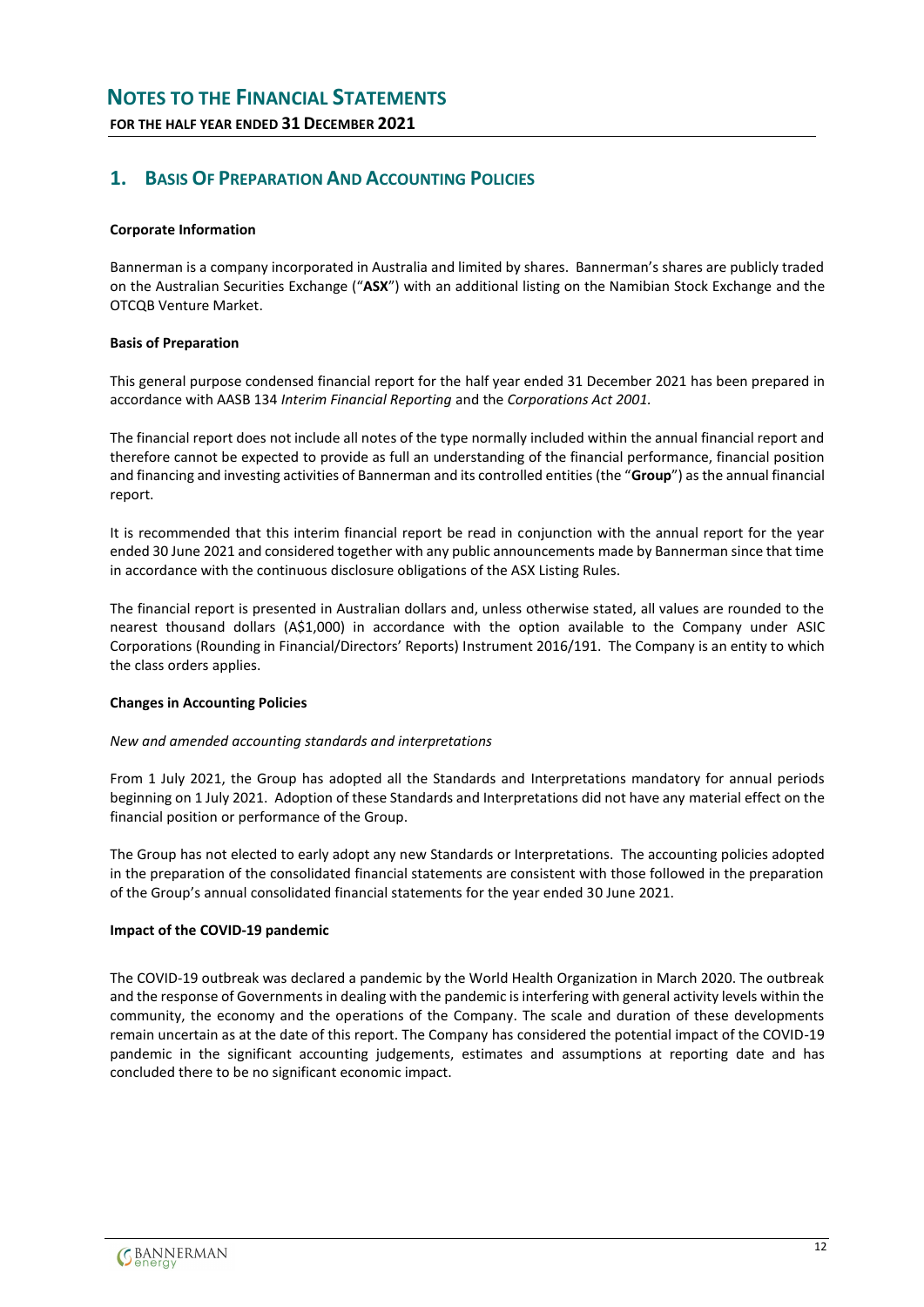<span id="page-13-0"></span>**FOR THE HALF YEAR ENDED 31 DECEMBER 2021**

### **1. BASIS OF PREPARATION AND ACCOUNTING POLICIES**

#### **Corporate Information**

Bannerman is a company incorporated in Australia and limited by shares. Bannerman's shares are publicly traded on the Australian Securities Exchange ("**ASX**") with an additional listing on the Namibian Stock Exchange and the OTCQB Venture Market.

#### **Basis of Preparation**

This general purpose condensed financial report for the half year ended 31 December 2021 has been prepared in accordance with AASB 134 *Interim Financial Reporting* and the *Corporations Act 2001.*

The financial report does not include all notes of the type normally included within the annual financial report and therefore cannot be expected to provide as full an understanding of the financial performance, financial position and financing and investing activities of Bannerman and its controlled entities (the "**Group**") as the annual financial report.

It is recommended that this interim financial report be read in conjunction with the annual report for the year ended 30 June 2021 and considered together with any public announcements made by Bannerman since that time in accordance with the continuous disclosure obligations of the ASX Listing Rules.

The financial report is presented in Australian dollars and, unless otherwise stated, all values are rounded to the nearest thousand dollars (A\$1,000) in accordance with the option available to the Company under ASIC Corporations (Rounding in Financial/Directors' Reports) Instrument 2016/191. The Company is an entity to which the class orders applies.

#### **Changes in Accounting Policies**

#### *New and amended accounting standards and interpretations*

From 1 July 2021, the Group has adopted all the Standards and Interpretations mandatory for annual periods beginning on 1 July 2021. Adoption of these Standards and Interpretations did not have any material effect on the financial position or performance of the Group.

The Group has not elected to early adopt any new Standards or Interpretations. The accounting policies adopted in the preparation of the consolidated financial statements are consistent with those followed in the preparation of the Group's annual consolidated financial statements for the year ended 30 June 2021.

#### **Impact of the COVID-19 pandemic**

The COVID-19 outbreak was declared a pandemic by the World Health Organization in March 2020. The outbreak and the response of Governments in dealing with the pandemic is interfering with general activity levels within the community, the economy and the operations of the Company. The scale and duration of these developments remain uncertain as at the date of this report. The Company has considered the potential impact of the COVID-19 pandemic in the significant accounting judgements, estimates and assumptions at reporting date and has concluded there to be no significant economic impact.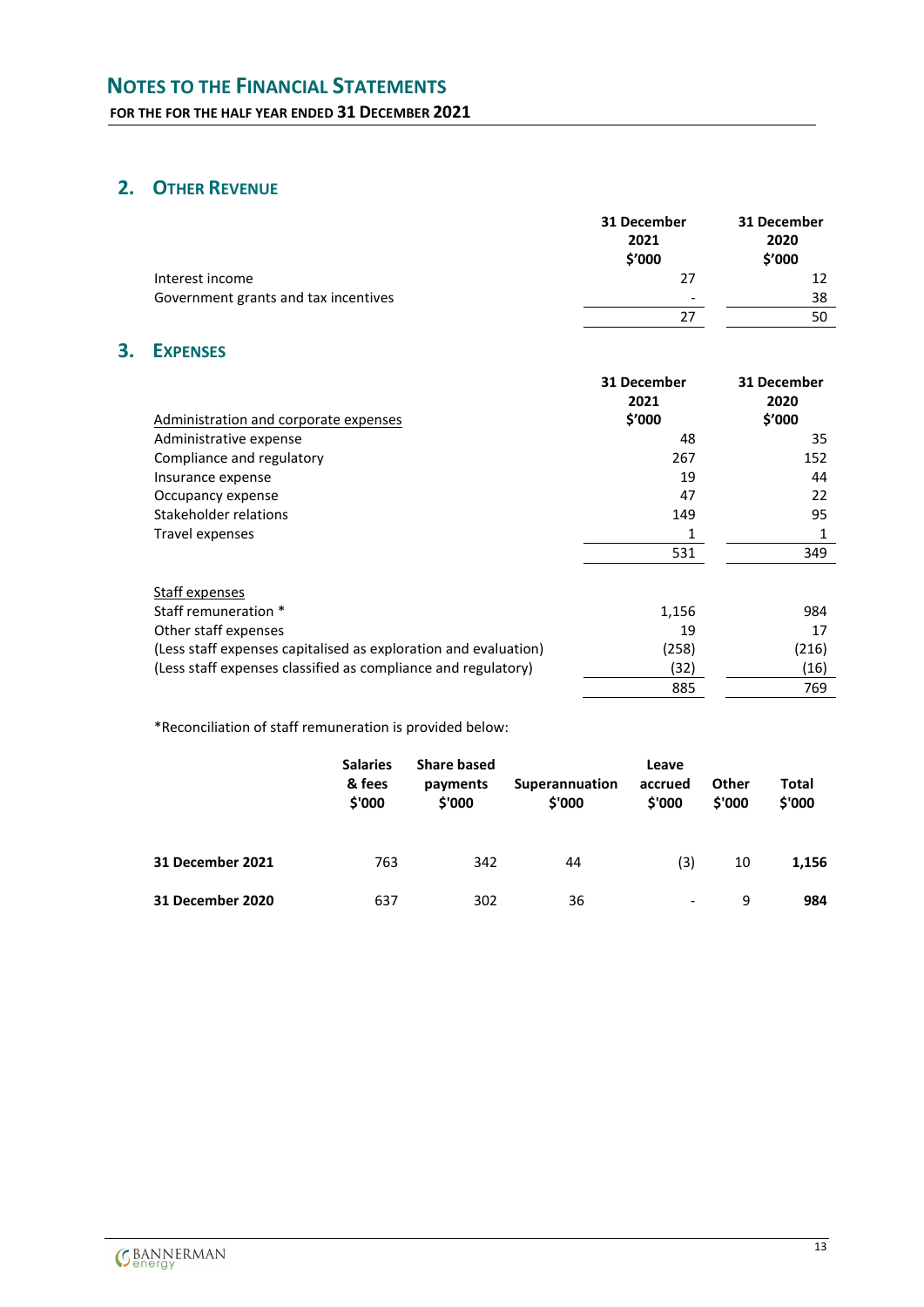**FOR THE FOR THE HALF YEAR ENDED 31 DECEMBER 2021**

### **2. OTHER REVENUE**

|                                      | 31 December<br>2021<br>\$'000 | 31 December<br>2020<br>\$′000 |
|--------------------------------------|-------------------------------|-------------------------------|
| Interest income                      | 27                            | 12                            |
| Government grants and tax incentives | $\overline{\phantom{a}}$      | 38                            |
|                                      | 27                            | 50                            |
|                                      |                               |                               |

### **3. EXPENSES**

|                                                                 | 31 December | 31 December |
|-----------------------------------------------------------------|-------------|-------------|
|                                                                 | 2021        | 2020        |
| Administration and corporate expenses                           | \$′000      | \$'000      |
| Administrative expense                                          | 48          | 35          |
| Compliance and regulatory                                       | 267         | 152         |
| Insurance expense                                               | 19          | 44          |
| Occupancy expense                                               | 47          | 22          |
| Stakeholder relations                                           | 149         | 95          |
| Travel expenses                                                 |             | 1           |
|                                                                 | 531         | 349         |
| Staff expenses                                                  |             |             |
| Staff remuneration *                                            | 1,156       | 984         |
| Other staff expenses                                            | 19          | 17          |
| (Less staff expenses capitalised as exploration and evaluation) | (258)       | (216)       |
| (Less staff expenses classified as compliance and regulatory)   | (32)        | (16)        |
|                                                                 | 885         | 769         |

\*Reconciliation of staff remuneration is provided below:

|                  | <b>Salaries</b><br>& fees<br>\$'000 | <b>Share based</b><br>payments<br>\$'000 | Superannuation<br>\$'000 | Leave<br>accrued<br>\$'000 | Other<br>\$'000 | Total<br>\$'000 |
|------------------|-------------------------------------|------------------------------------------|--------------------------|----------------------------|-----------------|-----------------|
| 31 December 2021 | 763                                 | 342                                      | 44                       | (3)                        | 10              | 1,156           |
| 31 December 2020 | 637                                 | 302                                      | 36                       | $\overline{\phantom{a}}$   | 9               | 984             |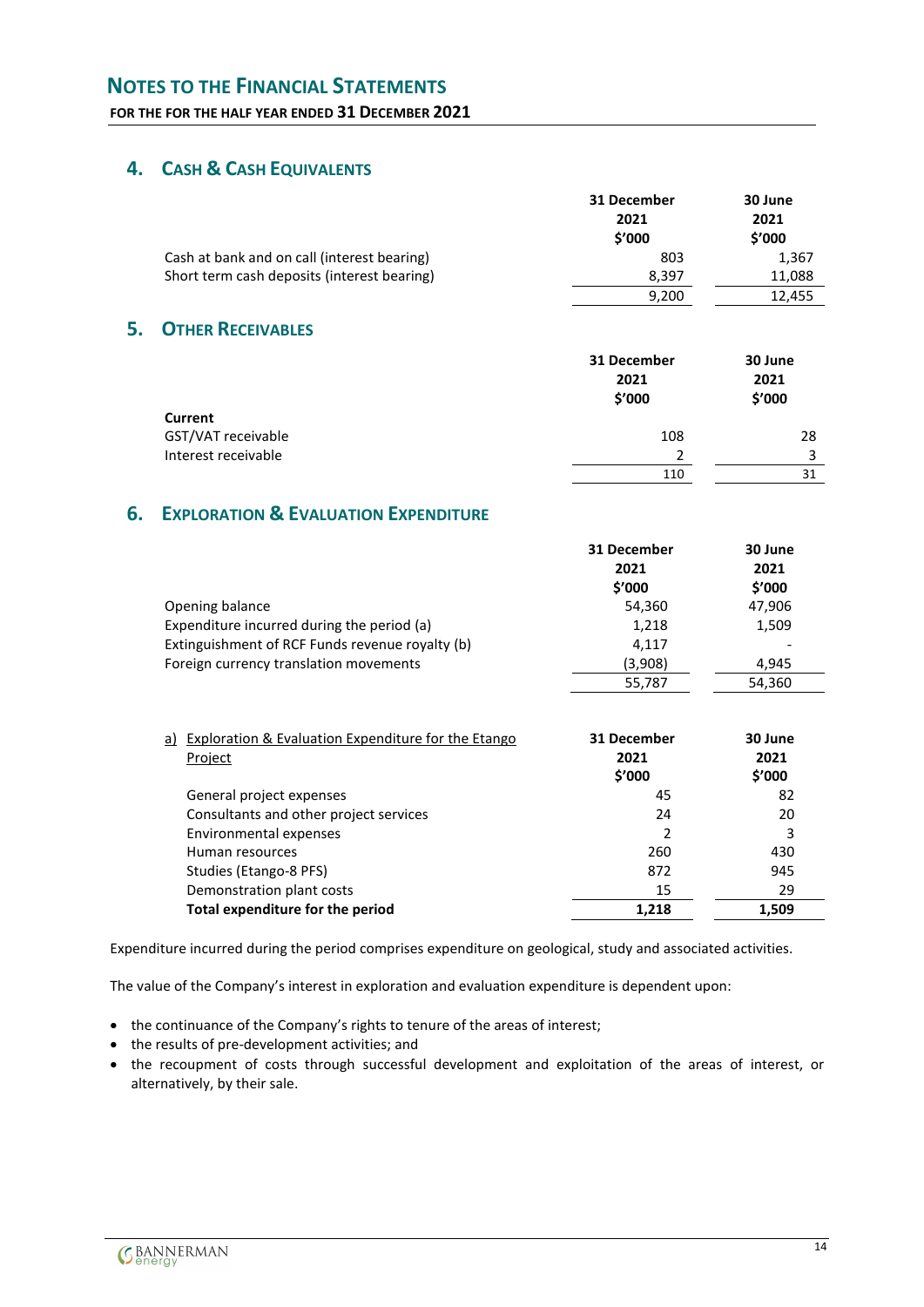### **FOR THE FOR THE HALF YEAR ENDED 31 DECEMBER 2021**

### **4. CASH & CASH EQUIVALENTS**

|                                             | 31 December | 30 June |
|---------------------------------------------|-------------|---------|
|                                             | 2021        | 2021    |
|                                             | \$'000      | \$'000  |
| Cash at bank and on call (interest bearing) | 803         | 1,367   |
| Short term cash deposits (interest bearing) | 8.397       | 11,088  |
|                                             | 9.200       | 12.455  |

### **5. OTHER RECEIVABLES**

|                               | 31 December<br>2021<br>\$′000 | 30 June<br>2021<br>\$'000 |
|-------------------------------|-------------------------------|---------------------------|
| Current<br>GST/VAT receivable | 108                           | 28                        |
| Interest receivable           | $\mathcal{P}$                 | 2                         |
|                               | 110                           | 31                        |

### **6. EXPLORATION & EVALUATION EXPENDITURE**

|                                                 | 31 December | 30 June |
|-------------------------------------------------|-------------|---------|
|                                                 | 2021        | 2021    |
|                                                 | \$'000      | \$'000  |
| Opening balance                                 | 54,360      | 47,906  |
| Expenditure incurred during the period (a)      | 1,218       | 1,509   |
| Extinguishment of RCF Funds revenue royalty (b) | 4.117       | ٠       |
| Foreign currency translation movements          | (3,908)     | 4.945   |
|                                                 | 55,787      | 54.360  |

| Exploration & Evaluation Expenditure for the Etango<br>a)<br>Project | 31 December<br>2021<br>\$'000 | 30 June<br>2021<br>\$′000 |
|----------------------------------------------------------------------|-------------------------------|---------------------------|
| General project expenses                                             | 45                            | 82                        |
| Consultants and other project services                               | 24                            | 20                        |
| Environmental expenses                                               | 2                             | 3                         |
| Human resources                                                      | 260                           | 430                       |
| Studies (Etango-8 PFS)                                               | 872                           | 945                       |
| Demonstration plant costs                                            | 15                            | 29                        |
| Total expenditure for the period                                     | 1.218                         | 1.509                     |

Expenditure incurred during the period comprises expenditure on geological, study and associated activities.

The value of the Company's interest in exploration and evaluation expenditure is dependent upon:

- the continuance of the Company's rights to tenure of the areas of interest;
- the results of pre-development activities; and
- the recoupment of costs through successful development and exploitation of the areas of interest, or alternatively, by their sale.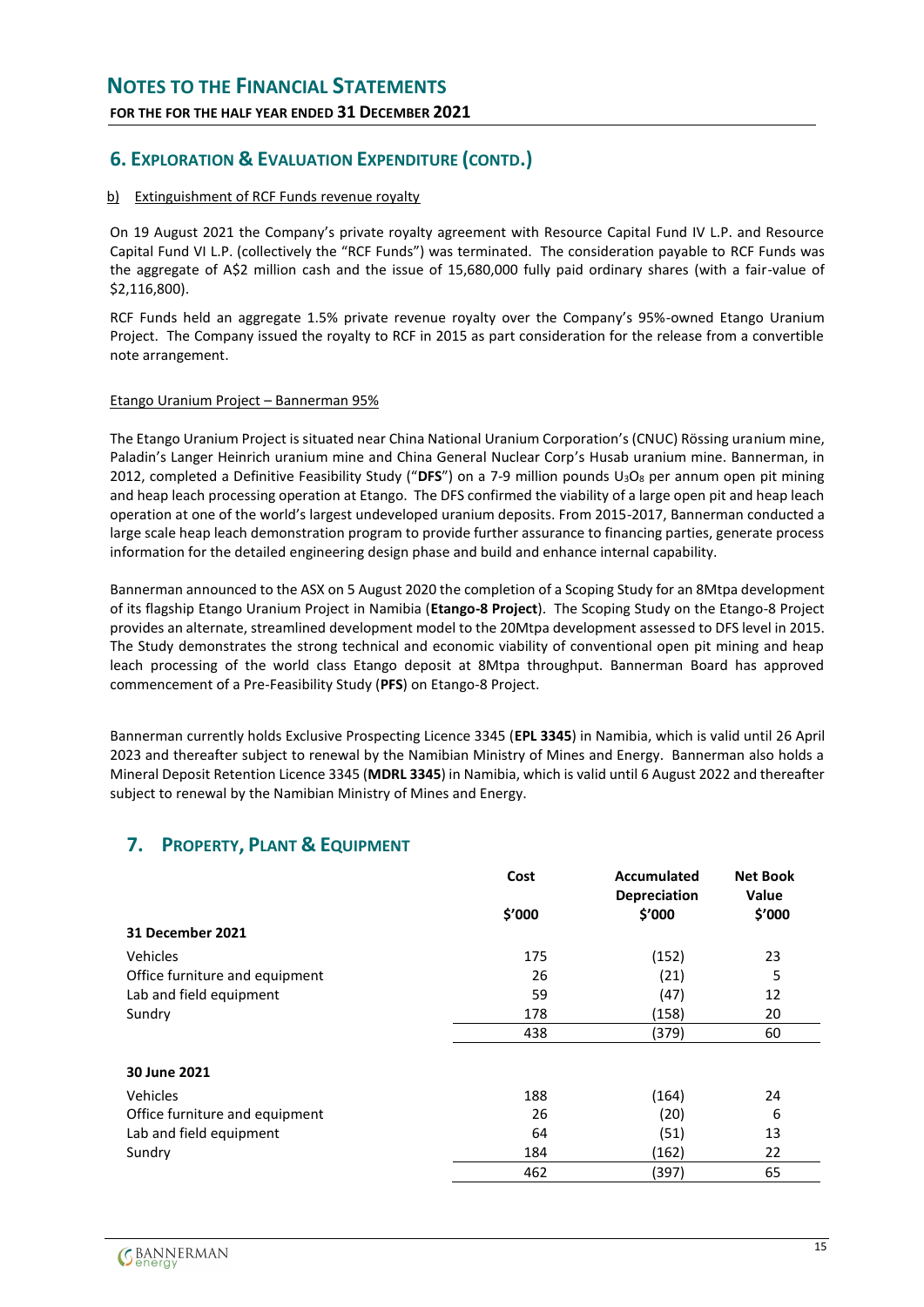### **FOR THE FOR THE HALF YEAR ENDED 31 DECEMBER 2021**

### **6. EXPLORATION & EVALUATION EXPENDITURE (CONTD.)**

#### b) Extinguishment of RCF Funds revenue royalty

On 19 August 2021 the Company's private royalty agreement with Resource Capital Fund IV L.P. and Resource Capital Fund VI L.P. (collectively the "RCF Funds") was terminated. The consideration payable to RCF Funds was the aggregate of A\$2 million cash and the issue of 15,680,000 fully paid ordinary shares (with a fair-value of \$2,116,800).

RCF Funds held an aggregate 1.5% private revenue royalty over the Company's 95%-owned Etango Uranium Project. The Company issued the royalty to RCF in 2015 as part consideration for the release from a convertible note arrangement.

#### Etango Uranium Project – Bannerman 95%

The Etango Uranium Project is situated near China National Uranium Corporation's (CNUC) Rössing uranium mine, Paladin's Langer Heinrich uranium mine and China General Nuclear Corp's Husab uranium mine. Bannerman, in 2012, completed a Definitive Feasibility Study ("**DFS**") on a 7-9 million pounds U3O<sup>8</sup> per annum open pit mining and heap leach processing operation at Etango. The DFS confirmed the viability of a large open pit and heap leach operation at one of the world's largest undeveloped uranium deposits. From 2015-2017, Bannerman conducted a large scale heap leach demonstration program to provide further assurance to financing parties, generate process information for the detailed engineering design phase and build and enhance internal capability.

Bannerman announced to the ASX on 5 August 2020 the completion of a Scoping Study for an 8Mtpa development of its flagship Etango Uranium Project in Namibia (**Etango-8 Project**). The Scoping Study on the Etango-8 Project provides an alternate, streamlined development model to the 20Mtpa development assessed to DFS level in 2015. The Study demonstrates the strong technical and economic viability of conventional open pit mining and heap leach processing of the world class Etango deposit at 8Mtpa throughput. Bannerman Board has approved commencement of a Pre-Feasibility Study (**PFS**) on Etango-8 Project.

Bannerman currently holds Exclusive Prospecting Licence 3345 (**EPL 3345**) in Namibia, which is valid until 26 April 2023 and thereafter subject to renewal by the Namibian Ministry of Mines and Energy. Bannerman also holds a Mineral Deposit Retention Licence 3345 (**MDRL 3345**) in Namibia, which is valid until 6 August 2022 and thereafter subject to renewal by the Namibian Ministry of Mines and Energy.

### **7. PROPERTY, PLANT & EQUIPMENT**

|                                | Cost   | Accumulated<br><b>Depreciation</b> | <b>Net Book</b><br><b>Value</b> |
|--------------------------------|--------|------------------------------------|---------------------------------|
|                                | \$'000 | \$′000                             | \$′000                          |
| 31 December 2021               |        |                                    |                                 |
| Vehicles                       | 175    | (152)                              | 23                              |
| Office furniture and equipment | 26     | (21)                               | 5                               |
| Lab and field equipment        | 59     | (47)                               | 12                              |
| Sundry                         | 178    | (158)                              | 20                              |
|                                | 438    | (379)                              | 60                              |
| 30 June 2021                   |        |                                    |                                 |
| Vehicles                       | 188    | (164)                              | 24                              |
| Office furniture and equipment | 26     | (20)                               | 6                               |
| Lab and field equipment        | 64     | (51)                               | 13                              |
| Sundry                         | 184    | (162)                              | 22                              |
|                                | 462    | (397)                              | 65                              |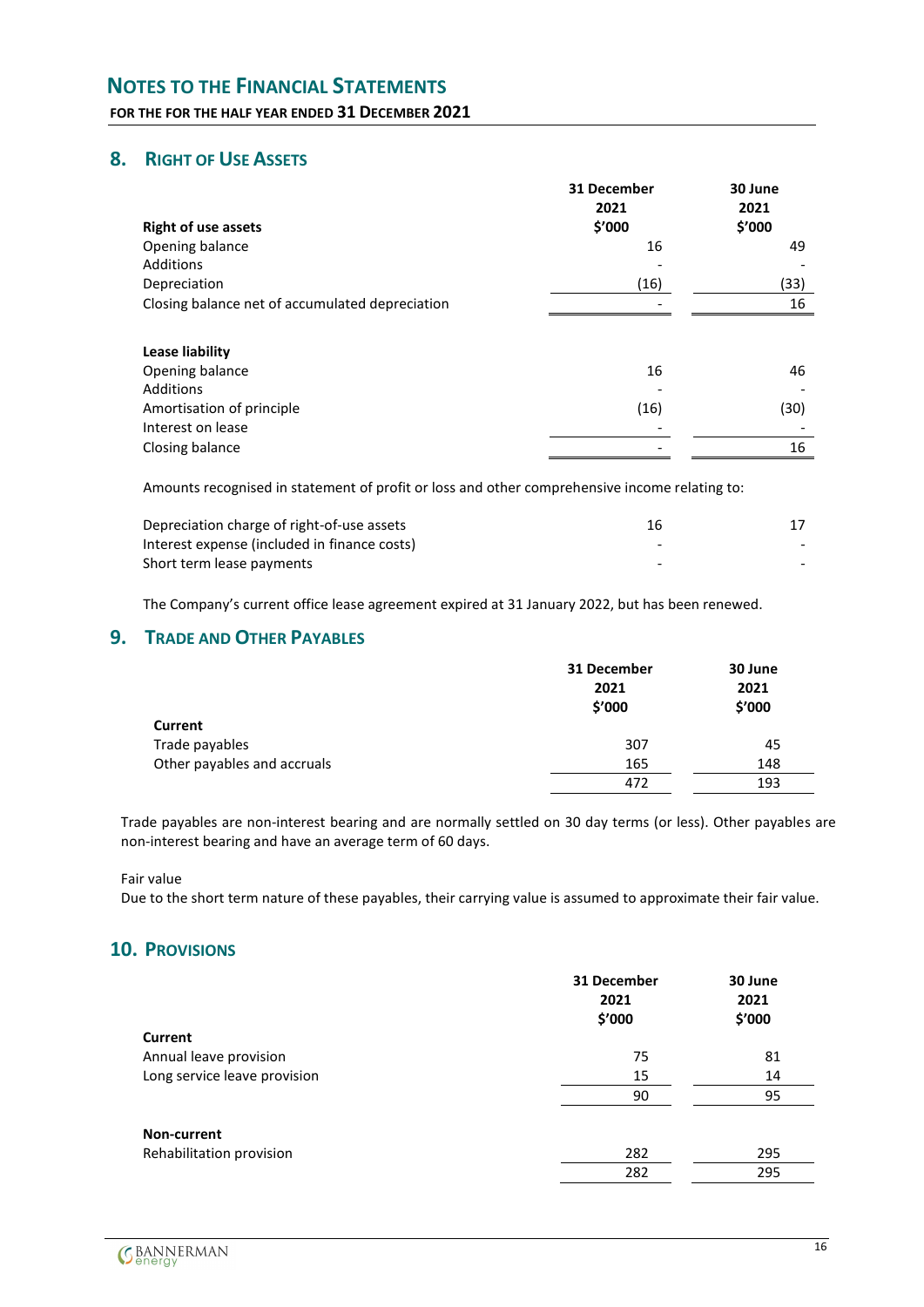**FOR THE FOR THE HALF YEAR ENDED 31 DECEMBER 2021**

### **8. RIGHT OF USE ASSETS**

|                                                 | 31 December    | 30 June        |
|-------------------------------------------------|----------------|----------------|
| <b>Right of use assets</b>                      | 2021<br>\$′000 | 2021<br>\$′000 |
| Opening balance                                 | 16             | 49             |
| Additions                                       |                |                |
| Depreciation                                    | (16)           | (33)           |
| Closing balance net of accumulated depreciation |                | 16             |
| Lease liability                                 |                |                |
| Opening balance                                 | 16             | 46             |
| Additions                                       |                |                |
| Amortisation of principle                       | (16)           | (30)           |
| Interest on lease                               |                |                |
| Closing balance                                 |                | 16             |

Amounts recognised in statement of profit or loss and other comprehensive income relating to:

| Depreciation charge of right-of-use assets   | 16 |  |
|----------------------------------------------|----|--|
| Interest expense (included in finance costs) |    |  |
| Short term lease payments                    |    |  |

The Company's current office lease agreement expired at 31 January 2022, but has been renewed.

### **9. TRADE AND OTHER PAYABLES**

|                             | 31 December | 30 June |
|-----------------------------|-------------|---------|
|                             | 2021        | 2021    |
|                             | \$'000      | \$'000  |
| <b>Current</b>              |             |         |
| Trade payables              | 307         | 45      |
| Other payables and accruals | 165         | 148     |
|                             | 472         | 193     |

Trade payables are non-interest bearing and are normally settled on 30 day terms (or less). Other payables are non-interest bearing and have an average term of 60 days.

#### Fair value

Due to the short term nature of these payables, their carrying value is assumed to approximate their fair value.

### **10. PROVISIONS**

|                              | 31 December<br>2021<br>\$'000 | 30 June<br>2021<br>\$'000 |
|------------------------------|-------------------------------|---------------------------|
| Current                      |                               |                           |
| Annual leave provision       | 75                            | 81                        |
| Long service leave provision | 15                            | 14                        |
|                              | 90                            | 95                        |
| Non-current                  |                               |                           |
| Rehabilitation provision     | 282                           | 295                       |
|                              | 282                           | 295                       |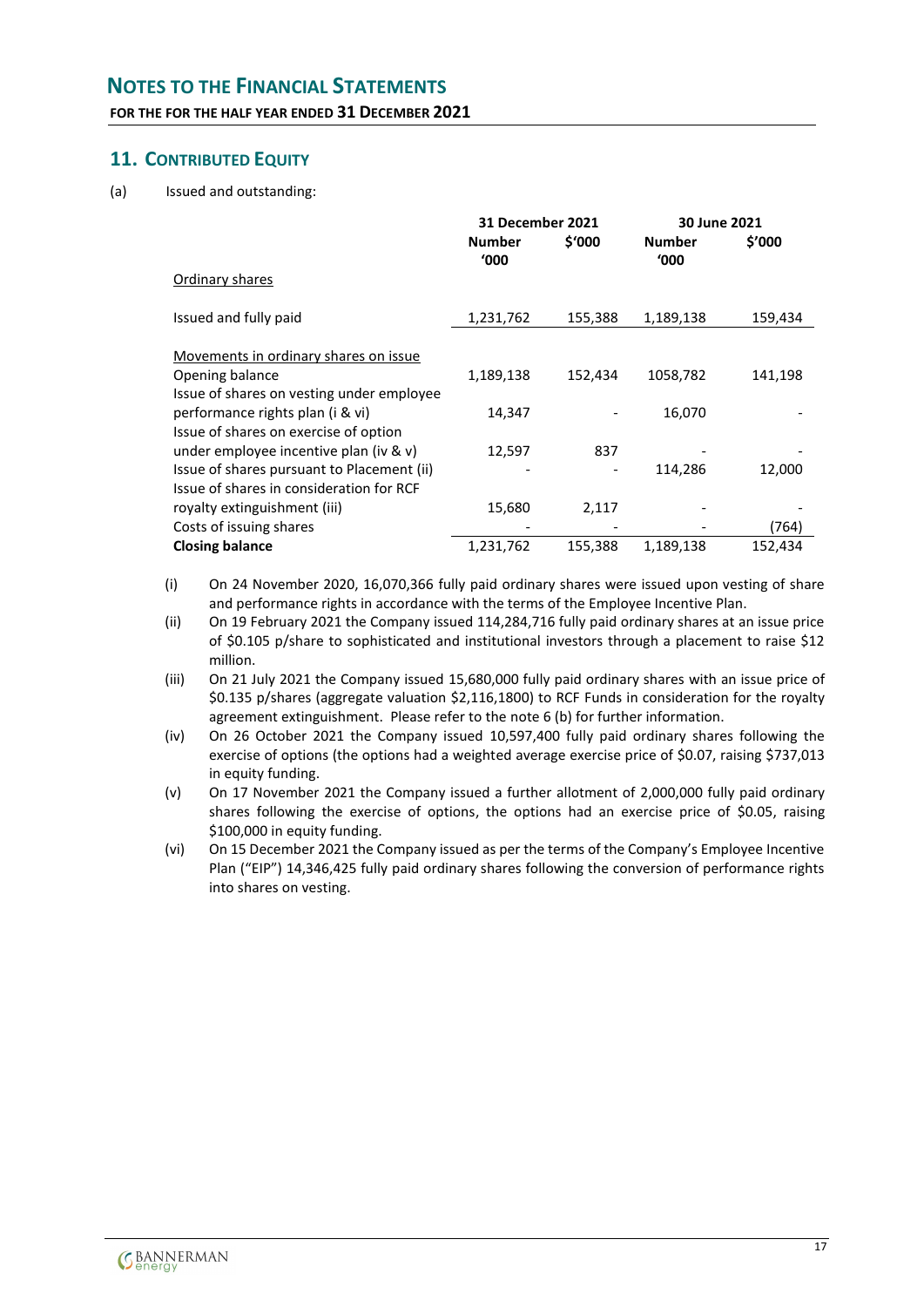**FOR THE FOR THE HALF YEAR ENDED 31 DECEMBER 2021**

### **11. CONTRIBUTED EQUITY**

(a) Issued and outstanding:

|                                            | <b>31 December 2021</b> |         | 30 June 2021          |         |
|--------------------------------------------|-------------------------|---------|-----------------------|---------|
|                                            | <b>Number</b><br>'000   | \$′000  | <b>Number</b><br>'000 | \$′000  |
| Ordinary shares                            |                         |         |                       |         |
| Issued and fully paid                      | 1,231,762               | 155,388 | 1,189,138             | 159,434 |
| Movements in ordinary shares on issue      |                         |         |                       |         |
| Opening balance                            | 1,189,138               | 152,434 | 1058,782              | 141,198 |
| Issue of shares on vesting under employee  |                         |         |                       |         |
| performance rights plan (i & vi)           | 14,347                  |         | 16,070                |         |
| Issue of shares on exercise of option      |                         |         |                       |         |
| under employee incentive plan (iv & v)     | 12,597                  | 837     |                       |         |
| Issue of shares pursuant to Placement (ii) |                         |         | 114,286               | 12,000  |
| Issue of shares in consideration for RCF   |                         |         |                       |         |
| royalty extinguishment (iii)               | 15,680                  | 2,117   |                       |         |
| Costs of issuing shares                    |                         |         |                       | (764)   |
| <b>Closing balance</b>                     | 1,231,762               | 155,388 | 1,189,138             | 152,434 |

- (i) On 24 November 2020, 16,070,366 fully paid ordinary shares were issued upon vesting of share and performance rights in accordance with the terms of the Employee Incentive Plan.
- (ii) On 19 February 2021 the Company issued 114,284,716 fully paid ordinary shares at an issue price of \$0.105 p/share to sophisticated and institutional investors through a placement to raise \$12 million.
- (iii) On 21 July 2021 the Company issued 15,680,000 fully paid ordinary shares with an issue price of \$0.135 p/shares (aggregate valuation \$2,116,1800) to RCF Funds in consideration for the royalty agreement extinguishment. Please refer to the note 6 (b) for further information.
- (iv) On 26 October 2021 the Company issued 10,597,400 fully paid ordinary shares following the exercise of options (the options had a weighted average exercise price of \$0.07, raising \$737,013 in equity funding.
- (v) On 17 November 2021 the Company issued a further allotment of 2,000,000 fully paid ordinary shares following the exercise of options, the options had an exercise price of \$0.05, raising \$100,000 in equity funding.
- (vi) On 15 December 2021 the Company issued as per the terms of the Company's Employee Incentive Plan ("EIP") 14,346,425 fully paid ordinary shares following the conversion of performance rights into shares on vesting.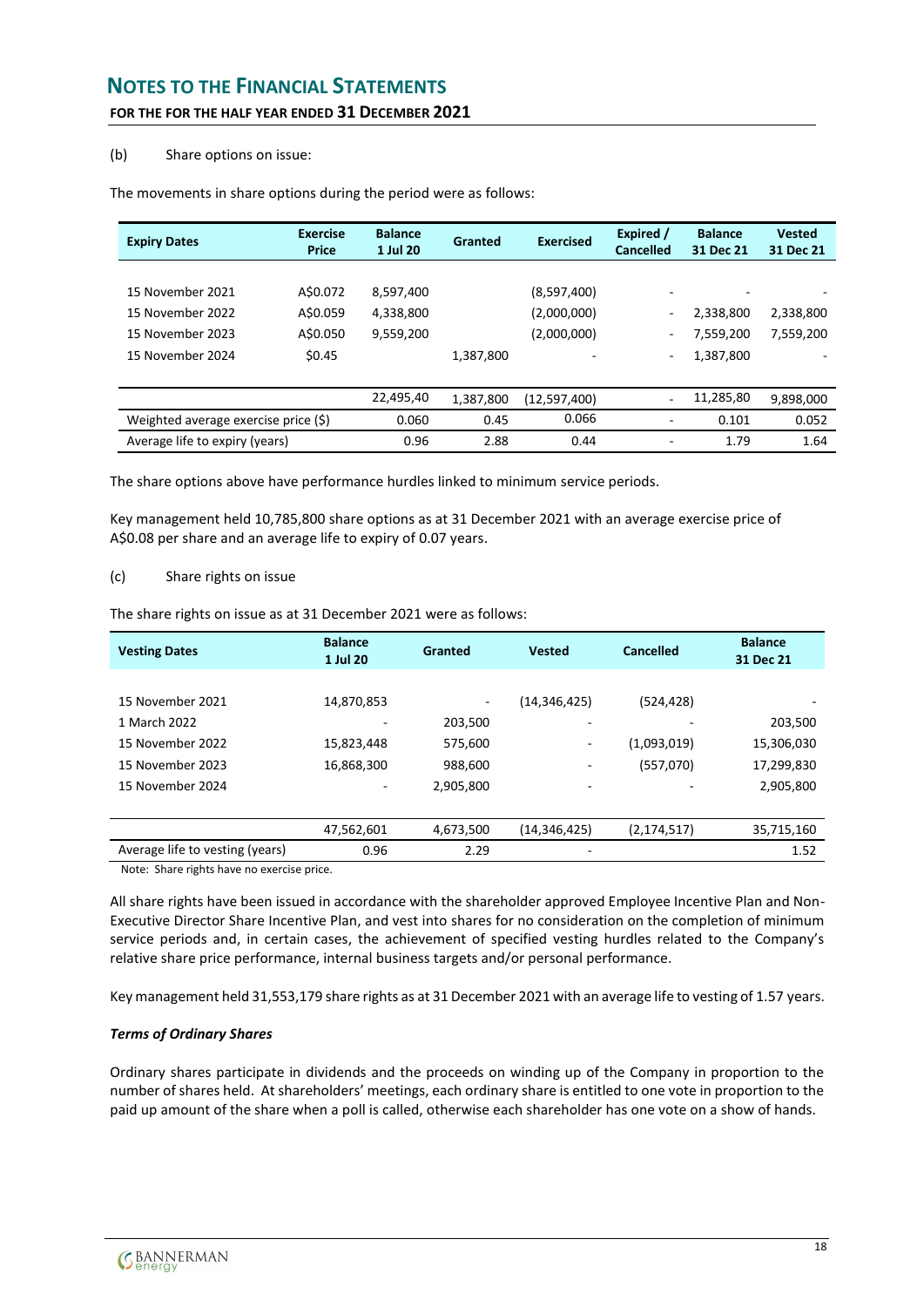### **FOR THE FOR THE HALF YEAR ENDED 31 DECEMBER 2021**

#### (b) Share options on issue:

| <b>Expiry Dates</b>                     | <b>Exercise</b><br><b>Price</b> | <b>Balance</b><br>1 Jul 20 | Granted   | <b>Exercised</b> | Expired /<br><b>Cancelled</b> | <b>Balance</b><br>31 Dec 21 | <b>Vested</b><br>31 Dec 21 |
|-----------------------------------------|---------------------------------|----------------------------|-----------|------------------|-------------------------------|-----------------------------|----------------------------|
|                                         |                                 |                            |           |                  |                               |                             |                            |
| 15 November 2021                        | A\$0.072                        | 8,597,400                  |           | (8,597,400)      | ٠                             | ۰                           |                            |
| 15 November 2022                        | A\$0.059                        | 4,338,800                  |           | (2,000,000)      | ۰                             | 2,338,800                   | 2,338,800                  |
| 15 November 2023                        | A\$0.050                        | 9,559,200                  |           | (2,000,000)      | ٠                             | 7,559,200                   | 7,559,200                  |
| 15 November 2024                        | \$0.45                          |                            | 1,387,800 |                  | $\overline{a}$                | 1,387,800                   |                            |
|                                         |                                 |                            |           |                  |                               |                             |                            |
|                                         |                                 | 22,495,40                  | 1,387,800 | (12,597,400)     | ۰                             | 11,285,80                   | 9,898,000                  |
| Weighted average exercise price $(\xi)$ |                                 | 0.060                      | 0.45      | 0.066            |                               | 0.101                       | 0.052                      |
| Average life to expiry (years)          |                                 | 0.96                       | 2.88      | 0.44             | -                             | 1.79                        | 1.64                       |

The movements in share options during the period were as follows:

The share options above have performance hurdles linked to minimum service periods.

Key management held 10,785,800 share options as at 31 December 2021 with an average exercise price of A\$0.08 per share and an average life to expiry of 0.07 years.

#### (c) Share rights on issue

The share rights on issue as at 31 December 2021 were as follows:

| <b>Vesting Dates</b>                                                                                                                                                                                                             | <b>Balance</b><br>1 Jul 20 | Granted   | <b>Vested</b>  | Cancelled     | <b>Balance</b><br>31 Dec 21 |
|----------------------------------------------------------------------------------------------------------------------------------------------------------------------------------------------------------------------------------|----------------------------|-----------|----------------|---------------|-----------------------------|
|                                                                                                                                                                                                                                  |                            |           |                |               |                             |
| 15 November 2021                                                                                                                                                                                                                 | 14,870,853                 | ٠         | (14, 346, 425) | (524,428)     |                             |
| 1 March 2022                                                                                                                                                                                                                     |                            | 203,500   | ۰              |               | 203,500                     |
| 15 November 2022                                                                                                                                                                                                                 | 15,823,448                 | 575,600   | ۰              | (1,093,019)   | 15,306,030                  |
| 15 November 2023                                                                                                                                                                                                                 | 16,868,300                 | 988,600   | ۰.             | (557,070)     | 17,299,830                  |
| 15 November 2024                                                                                                                                                                                                                 |                            | 2,905,800 | ۰              |               | 2,905,800                   |
|                                                                                                                                                                                                                                  |                            |           |                |               |                             |
|                                                                                                                                                                                                                                  | 47,562,601                 | 4,673,500 | (14, 346, 425) | (2, 174, 517) | 35,715,160                  |
| Average life to vesting (years)                                                                                                                                                                                                  | 0.96                       | 2.29      |                |               | 1.52                        |
| $\mathbf{r}$ , and the set of the set of the set of the set of the set of the set of the set of the set of the set of the set of the set of the set of the set of the set of the set of the set of the set of the set of the set |                            |           |                |               |                             |

Note: Share rights have no exercise price.

All share rights have been issued in accordance with the shareholder approved Employee Incentive Plan and Non-Executive Director Share Incentive Plan, and vest into shares for no consideration on the completion of minimum service periods and, in certain cases, the achievement of specified vesting hurdles related to the Company's relative share price performance, internal business targets and/or personal performance.

Key management held 31,553,179 share rights as at 31 December 2021 with an average life to vesting of 1.57 years.

#### *Terms of Ordinary Shares*

Ordinary shares participate in dividends and the proceeds on winding up of the Company in proportion to the number of shares held. At shareholders' meetings, each ordinary share is entitled to one vote in proportion to the paid up amount of the share when a poll is called, otherwise each shareholder has one vote on a show of hands.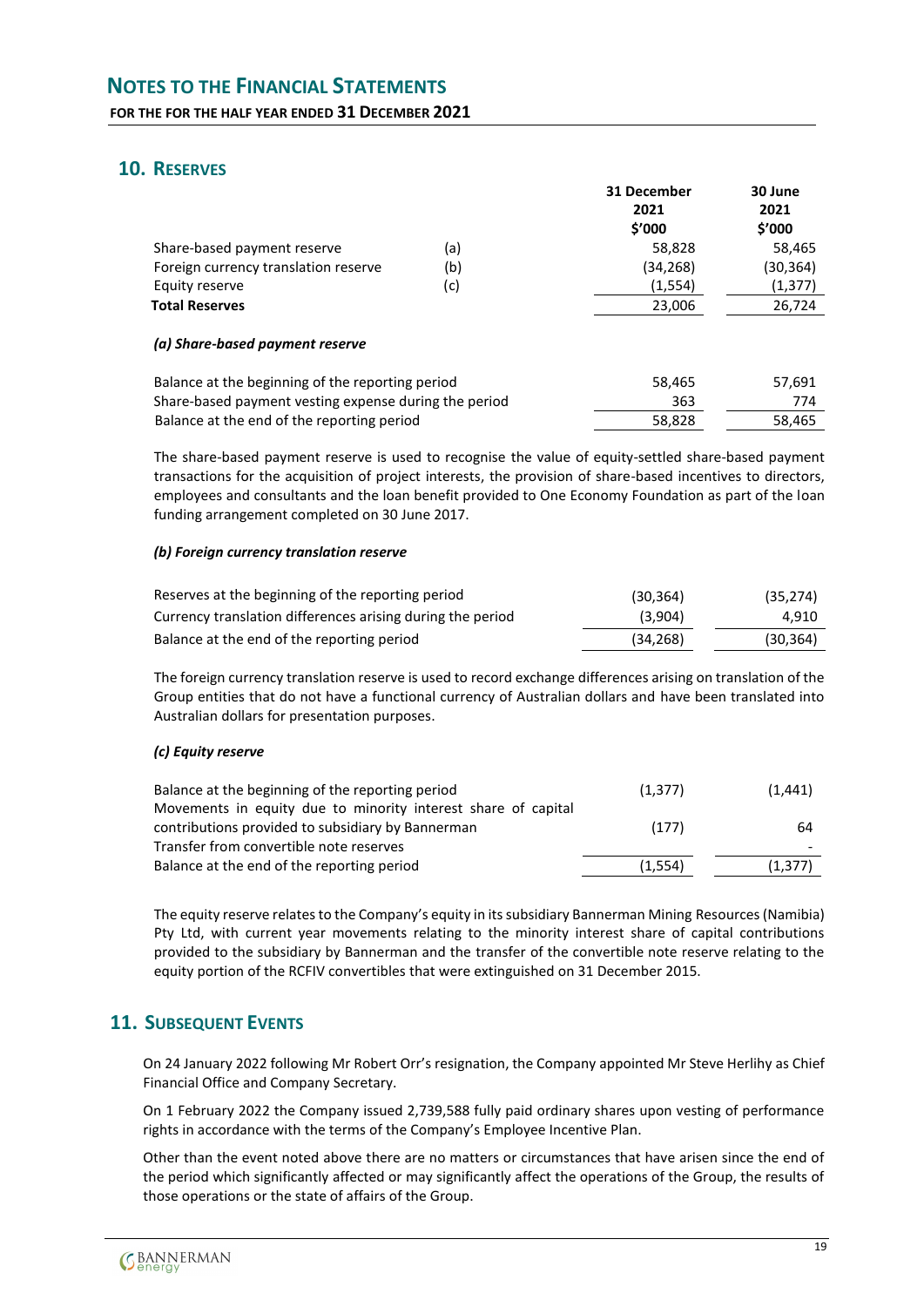### **10. RESERVES**

|                                                       | 31 December<br>2021<br>\$'000 | 30 June<br>2021<br>\$′000 |
|-------------------------------------------------------|-------------------------------|---------------------------|
| Share-based payment reserve<br>(a)                    | 58,828                        | 58,465                    |
| (b)<br>Foreign currency translation reserve           | (34, 268)                     | (30,364)                  |
| (c)<br>Equity reserve                                 | (1, 554)                      | (1, 377)                  |
| <b>Total Reserves</b>                                 | 23,006                        | 26,724                    |
| (a) Share-based payment reserve                       |                               |                           |
| Balance at the beginning of the reporting period      | 58,465                        | 57,691                    |
| Share-based payment vesting expense during the period | 363                           | 774                       |
| Balance at the end of the reporting period            | 58,828                        | 58,465                    |

The share-based payment reserve is used to recognise the value of equity-settled share-based payment transactions for the acquisition of project interests, the provision of share-based incentives to directors, employees and consultants and the loan benefit provided to One Economy Foundation as part of the loan funding arrangement completed on 30 June 2017.

#### *(b) Foreign currency translation reserve*

| Reserves at the beginning of the reporting period          | (30, 364) | (35, 274) |
|------------------------------------------------------------|-----------|-----------|
| Currency translation differences arising during the period | (3,904)   | 4.910     |
| Balance at the end of the reporting period                 | (34, 268) | (30, 364) |

The foreign currency translation reserve is used to record exchange differences arising on translation of the Group entities that do not have a functional currency of Australian dollars and have been translated into Australian dollars for presentation purposes.

#### *(c) Equity reserve*

| Balance at the beginning of the reporting period              | (1, 377) | (1, 441) |
|---------------------------------------------------------------|----------|----------|
| Movements in equity due to minority interest share of capital |          |          |
| contributions provided to subsidiary by Bannerman             | (177)    | 64       |
| Transfer from convertible note reserves                       |          |          |
| Balance at the end of the reporting period                    | (1,554)  | (1,377)  |

The equity reserve relates to the Company's equity in its subsidiary Bannerman Mining Resources (Namibia) Pty Ltd, with current year movements relating to the minority interest share of capital contributions provided to the subsidiary by Bannerman and the transfer of the convertible note reserve relating to the equity portion of the RCFIV convertibles that were extinguished on 31 December 2015.

### **11. SUBSEQUENT EVENTS**

On 24 January 2022 following Mr Robert Orr's resignation, the Company appointed Mr Steve Herlihy as Chief Financial Office and Company Secretary.

On 1 February 2022 the Company issued 2,739,588 fully paid ordinary shares upon vesting of performance rights in accordance with the terms of the Company's Employee Incentive Plan.

Other than the event noted above there are no matters or circumstances that have arisen since the end of the period which significantly affected or may significantly affect the operations of the Group, the results of those operations or the state of affairs of the Group.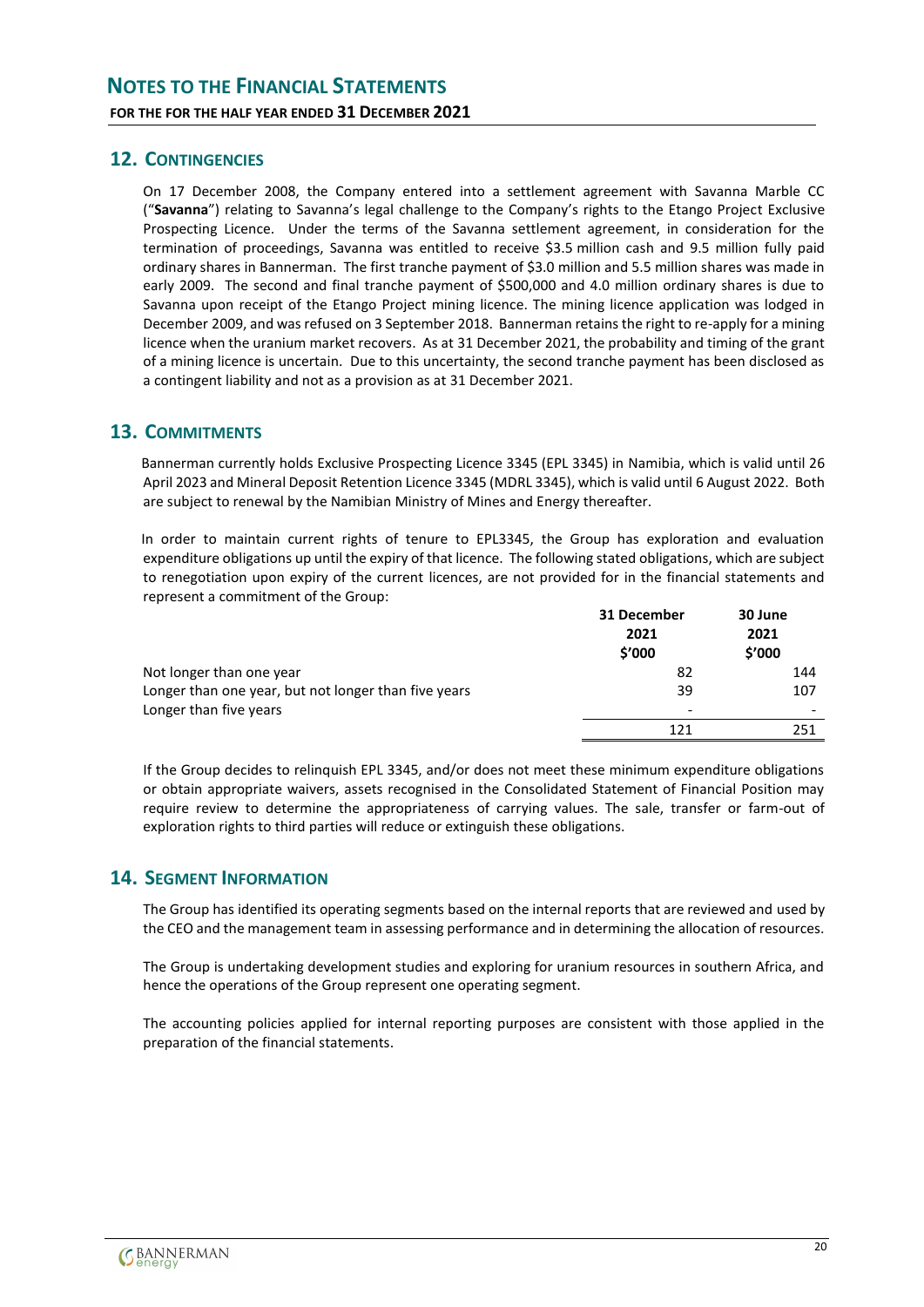### **12. CONTINGENCIES**

On 17 December 2008, the Company entered into a settlement agreement with Savanna Marble CC ("**Savanna**") relating to Savanna's legal challenge to the Company's rights to the Etango Project Exclusive Prospecting Licence. Under the terms of the Savanna settlement agreement, in consideration for the termination of proceedings, Savanna was entitled to receive \$3.5 million cash and 9.5 million fully paid ordinary shares in Bannerman. The first tranche payment of \$3.0 million and 5.5 million shares was made in early 2009. The second and final tranche payment of \$500,000 and 4.0 million ordinary shares is due to Savanna upon receipt of the Etango Project mining licence. The mining licence application was lodged in December 2009, and was refused on 3 September 2018. Bannerman retains the right to re-apply for a mining licence when the uranium market recovers. As at 31 December 2021, the probability and timing of the grant of a mining licence is uncertain. Due to this uncertainty, the second tranche payment has been disclosed as a contingent liability and not as a provision as at 31 December 2021.

### **13. COMMITMENTS**

Bannerman currently holds Exclusive Prospecting Licence 3345 (EPL 3345) in Namibia, which is valid until 26 April 2023 and Mineral Deposit Retention Licence 3345 (MDRL 3345), which is valid until 6 August 2022. Both are subject to renewal by the Namibian Ministry of Mines and Energy thereafter.

In order to maintain current rights of tenure to EPL3345, the Group has exploration and evaluation expenditure obligations up until the expiry of that licence. The following stated obligations, which are subject to renegotiation upon expiry of the current licences, are not provided for in the financial statements and represent a commitment of the Group:

|                                                                                | 31 December | 30 June<br>2021 |  |
|--------------------------------------------------------------------------------|-------------|-----------------|--|
|                                                                                | 2021        |                 |  |
|                                                                                | \$'000      | \$′000          |  |
| Not longer than one year                                                       | 82          | 144             |  |
| Longer than one year, but not longer than five years<br>Longer than five years | 39          | 107             |  |
|                                                                                |             |                 |  |
|                                                                                | 121         | 251             |  |

If the Group decides to relinquish EPL 3345, and/or does not meet these minimum expenditure obligations or obtain appropriate waivers, assets recognised in the Consolidated Statement of Financial Position may require review to determine the appropriateness of carrying values. The sale, transfer or farm-out of exploration rights to third parties will reduce or extinguish these obligations.

### **14. SEGMENT INFORMATION**

The Group has identified its operating segments based on the internal reports that are reviewed and used by the CEO and the management team in assessing performance and in determining the allocation of resources.

The Group is undertaking development studies and exploring for uranium resources in southern Africa, and hence the operations of the Group represent one operating segment.

The accounting policies applied for internal reporting purposes are consistent with those applied in the preparation of the financial statements.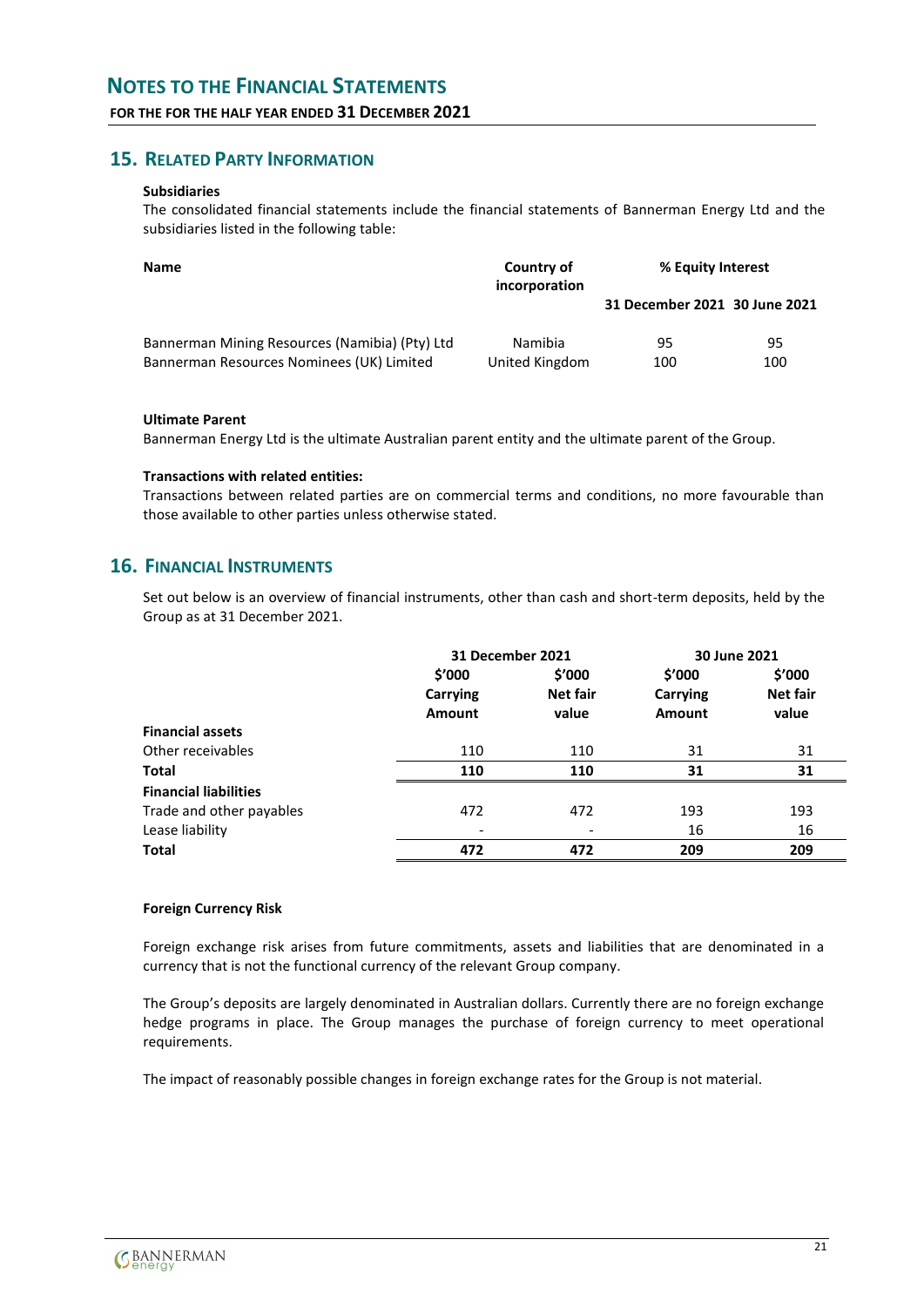#### **FOR THE FOR THE HALF YEAR ENDED 31 DECEMBER 2021**

### **15. RELATED PARTY INFORMATION**

#### **Subsidiaries**

The consolidated financial statements include the financial statements of Bannerman Energy Ltd and the subsidiaries listed in the following table:

| <b>Name</b>                                    | Country of<br>incorporation | % Equity Interest             |     |
|------------------------------------------------|-----------------------------|-------------------------------|-----|
|                                                |                             | 31 December 2021 30 June 2021 |     |
| Bannerman Mining Resources (Namibia) (Pty) Ltd | Namibia                     | 95                            | 95  |
| Bannerman Resources Nominees (UK) Limited      | United Kingdom              | 100                           | 100 |

#### **Ultimate Parent**

Bannerman Energy Ltd is the ultimate Australian parent entity and the ultimate parent of the Group.

#### **Transactions with related entities:**

Transactions between related parties are on commercial terms and conditions, no more favourable than those available to other parties unless otherwise stated.

### **16. FINANCIAL INSTRUMENTS**

Set out below is an overview of financial instruments, other than cash and short-term deposits, held by the Group as at 31 December 2021.

|                              | 31 December 2021             |                             | 30 June 2021                 |                             |
|------------------------------|------------------------------|-----------------------------|------------------------------|-----------------------------|
|                              | \$′000<br>Carrying<br>Amount | \$′000<br>Net fair<br>value | \$′000<br>Carrying<br>Amount | \$′000<br>Net fair<br>value |
| <b>Financial assets</b>      |                              |                             |                              |                             |
| Other receivables            | 110                          | 110                         | 31                           | 31                          |
| Total                        | 110                          | 110                         | 31                           | 31                          |
| <b>Financial liabilities</b> |                              |                             |                              |                             |
| Trade and other payables     | 472                          | 472                         | 193                          | 193                         |
| Lease liability              |                              |                             | 16                           | 16                          |
| <b>Total</b>                 | 472                          | 472                         | 209                          | 209                         |

#### **Foreign Currency Risk**

Foreign exchange risk arises from future commitments, assets and liabilities that are denominated in a currency that is not the functional currency of the relevant Group company.

The Group's deposits are largely denominated in Australian dollars. Currently there are no foreign exchange hedge programs in place. The Group manages the purchase of foreign currency to meet operational requirements.

The impact of reasonably possible changes in foreign exchange rates for the Group is not material.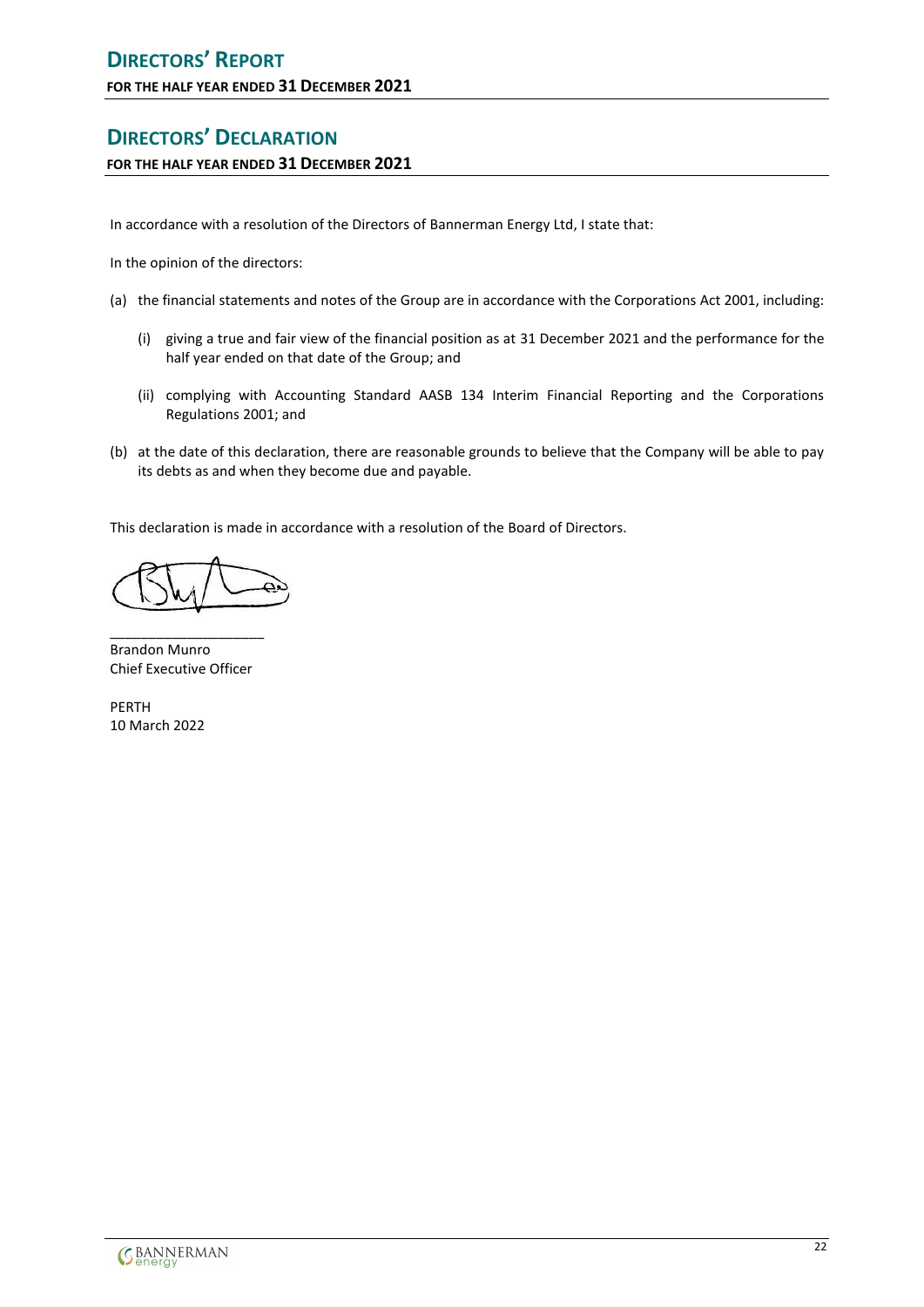# <span id="page-23-0"></span>**DIRECTORS' DECLARATION**

**FOR THE HALF YEAR ENDED 31 DECEMBER 2021**

In accordance with a resolution of the Directors of Bannerman Energy Ltd, I state that:

In the opinion of the directors:

- (a) the financial statements and notes of the Group are in accordance with the Corporations Act 2001, including:
	- (i) giving a true and fair view of the financial position as at 31 December 2021 and the performance for the half year ended on that date of the Group; and
	- (ii) complying with Accounting Standard AASB 134 Interim Financial Reporting and the Corporations Regulations 2001; and
- (b) at the date of this declaration, there are reasonable grounds to believe that the Company will be able to pay its debts as and when they become due and payable.

This declaration is made in accordance with a resolution of the Board of Directors.

\_\_\_\_\_\_\_\_\_\_\_\_\_\_\_\_\_\_\_\_ Brandon Munro Chief Executive Officer

PERTH 10 March 2022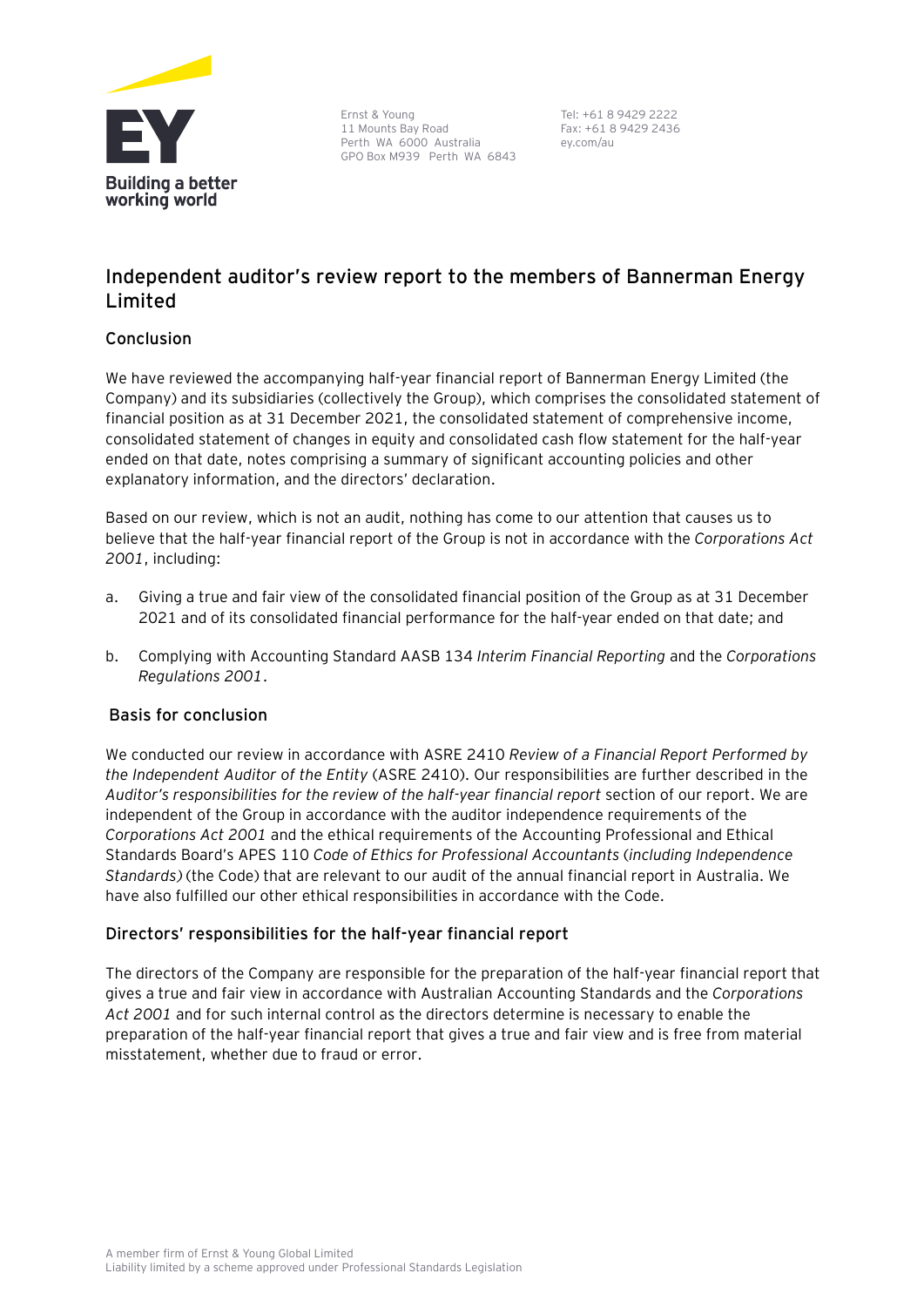

Ernst & Young 11 Mounts Bay Road Perth WA 6000 Australia GPO Box M939 Perth WA 6843

Tel: +61 8 9429 2222 Fax: +61 8 9429 2436 ey.com/au

### **Independent auditor's review report to the members of Bannerman Energy Limited**

### **Conclusion**

We have reviewed the accompanying half-year financial report of Bannerman Energy Limited (the Company) and its subsidiaries (collectively the Group), which comprises the consolidated statement of financial position as at 31 December 2021, the consolidated statement of comprehensive income, consolidated statement of changes in equity and consolidated cash flow statement for the half-year ended on that date, notes comprising a summary of significant accounting policies and other explanatory information, and the directors' declaration.

Based on our review, which is not an audit, nothing has come to our attention that causes us to believe that the half-year financial report of the Group is not in accordance with the *Corporations Act 2001*, including:

- a. Giving a true and fair view of the consolidated financial position of the Group as at 31 December 2021 and of its consolidated financial performance for the half-year ended on that date; and
- b. Complying with Accounting Standard AASB 134 *Interim Financial Reporting* and the *Corporations Regulations 2001*.

### **Basis for conclusion**

We conducted our review in accordance with ASRE 2410 *Review of a Financial Report Performed by the Independent Auditor of the Entity* (ASRE 2410). Our responsibilities are further described in the *Auditor's responsibilities for the review of the half-year financial report* section of our report. We are independent of the Group in accordance with the auditor independence requirements of the *Corporations Act 2001* and the ethical requirements of the Accounting Professional and Ethical Standards Board's APES 110 *Code of Ethics for Professional Accountants* (*including Independence Standards)* (the Code) that are relevant to our audit of the annual financial report in Australia. We have also fulfilled our other ethical responsibilities in accordance with the Code.

### **Directors' responsibilities for the half-year financial report**

The directors of the Company are responsible for the preparation of the half-year financial report that gives a true and fair view in accordance with Australian Accounting Standards and the *Corporations Act 2001* and for such internal control as the directors determine is necessary to enable the preparation of the half-year financial report that gives a true and fair view and is free from material misstatement, whether due to fraud or error.